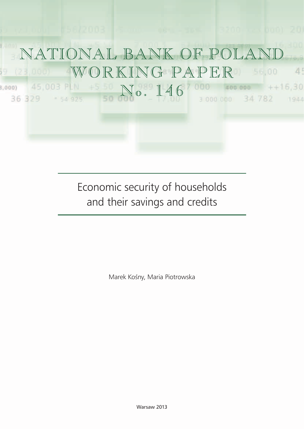

Economic security of households and their savings and credits

Marek Kośny, Maria Piotrowska

Warsaw 2013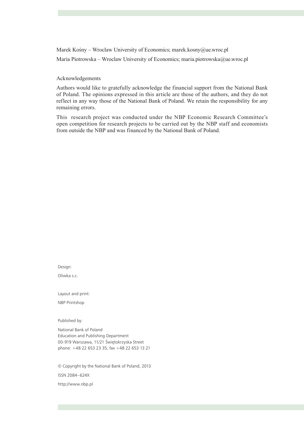Marek Kośny – Wroclaw University of Economics; marek.kosny $@$ ue.wroc.pl

Maria Piotrowska – Wroclaw University of Economics; maria.piotrowska@ue.wroc.pl

Acknowledgements

Authors would like to gratefully acknowledge the financial support from the National Bank of Poland. The opinions expressed in this article are those of the authors, and they do not reflect in any way those of the National Bank of Poland. We retain the responsibility for any remaining errors.

This research project was conducted under the NBP Economic Research Committee's open competition for research projects to be carried out by the NBP staff and economists from outside the NBP and was financed by the National Bank of Poland.

Design:

Oliwka s.c.

Layout and print:

NBP Printshop

Published by:

National Bank of Poland Education and Publishing Department 00-919 Warszawa, 11/21 Świętokrzyska Street phone: +48 22 653 23 35, fax +48 22 653 13 21

© Copyright by the National Bank of Poland, 2013 ISSN 2084–624X http://www.nbp.pl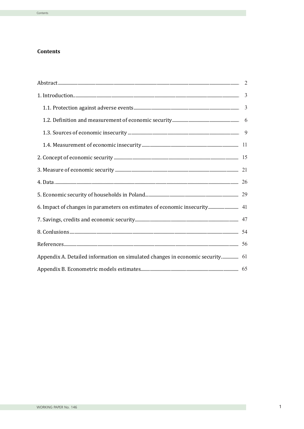# **Contents**

| 6. Impact of changes in parameters on estimates of economic insecurity 41     |  |
|-------------------------------------------------------------------------------|--|
|                                                                               |  |
|                                                                               |  |
|                                                                               |  |
| Appendix A. Detailed information on simulated changes in economic security 61 |  |
|                                                                               |  |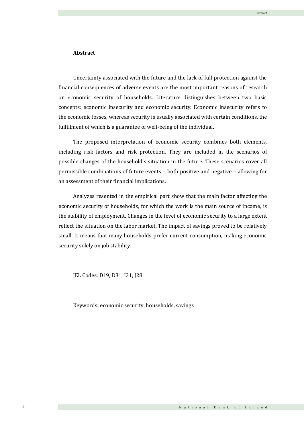## **Abstract**

Uncertainty associated with the future and the lack of full protection against the financial consequences of adverse events are the most important reasons of research on economic security of households. Literature distinguishes between two basic concepts: economic insecurity and economic security. Economic insecurity refers to the economic losses, whereas security is usually associated with certain conditions, the fulfillment of which is a guarantee of well-being of the individual.

The proposed interpretation of economic security combines both elements, including risk factors and risk protection. They are included in the scenarios of possible changes of the household's situation in the future. These scenarios cover all permissible combinations of future events – both positive and negative – allowing for an assessment of their financial implications.

Analyzes resented in the empirical part show that the main factor affecting the economic security of households, for which the work is the main source of income, is the stability of employment. Changes in the level of economic security to a large extent reflect the situation on the labor market. The impact of savings proved to be relatively small. It means that many households prefer current consumption, making economic security solely on job stability.

JEL Codes: D19, D31, I31, J28

Keywords: economic security, households, savings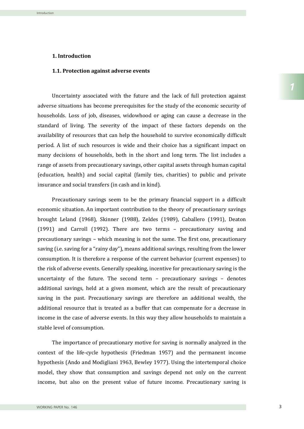#### **1. Introduction**

### **1.1. Protection against adverse events**

Uncertainty associated with the future and the lack of full protection against adverse situations has become prerequisites for the study of the economic security of households. Loss of job, diseases, widowhood or aging can cause a decrease in the standard of living. The severity of the impact of these factors depends on the availability of resources that can help the household to survive economically difficult period. A list of such resources is wide and their choice has a significant impact on many decisions of households, both in the short and long term. The list includes a range of assets from precautionary savings, other capital assets through human capital (education, health) and social capital (family ties, charities) to public and private insurance and social transfers (in cash and in kind).

Precautionary savings seem to be the primary financial support in a difficult economic situation. An important contribution to the theory of precautionary savings brought Leland (1968), Skinner (1988), Zeldes (1989), Caballero (1991), Deaton (1991) and Carroll (1992). There are two terms – precautionary saving and precautionary savings – which meaning is not the same. The first one, precautionary saving (i.e. saving for a "rainy day"), means additional savings, resulting from the lower consumption. It is therefore a response of the current behavior (current expenses) to the risk of adverse events. Generally speaking, incentive for precautionary saving is the uncertainty of the future. The second term – precautionary savings – denotes additional savings, held at a given moment, which are the result of precautionary saving in the past. Precautionary savings are therefore an additional wealth, the additional resource that is treated as a buffer that can compensate for a decrease in income in the case of adverse events. In this way they allow households to maintain a stable level of consumption.

The importance of precautionary motive for saving is normally analyzed in the context of the life-cycle hypothesis (Friedman 1957) and the permanent income hypothesis (Ando and Modigliani 1963, Bewley 1977). Using the intertemporal choice model, they show that consumption and savings depend not only on the current income, but also on the present value of future income. Precautionary saving is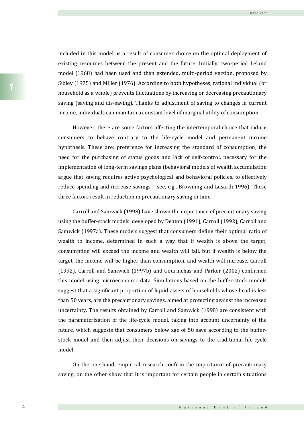included in this model as a result of consumer choice on the optimal deployment of existing resources between the present and the future. Initially, two-period Leland model (1968) had been used and then extended, multi-period version, proposed by Sibley (1975) and Miller (1976). According to both hypotheses, rational individual (or household as a whole) prevents fluctuations by increasing or decreasing precautionary saving (saving and dis-saving). Thanks to adjustment of saving to changes in current income, individuals can maintain a constant level of marginal utility of consumption.

Introduction

However, there are some factors affecting the intertemporal choice that induce consumers to behave contrary to the life-cycle model and permanent income hypothesis. These are: preference for increasing the standard of consumption, the need for the purchasing of status goods and lack of self-control, necessary for the implementation of long-term savings plans (behavioral models of wealth accumulation argue that saving requires active psychological and behavioral policies, to effectively reduce spending and increase savings – see, e.g., Browning and Lusardi 1996). These three factors result in reduction in precautionary saving in time.

Carroll and Samwick (1998) have shown the importance of precautionary saving using the buffer-stock models, developed by Deaton (1991), Carroll (1992), Carroll and Samwick (1997a). These models suggest that consumers define their optimal ratio of wealth to income, determined in such a way that if wealth is above the target, consumption will exceed the income and wealth will fall, but if wealth is below the target, the income will be higher than consumption, and wealth will increase. Carroll (1992), Carroll and Samwick (1997b) and Gourinchas and Parker (2002) confirmed this model using microeconomic data. Simulations based on the buffer-stock models suggest that a significant proportion of liquid assets of households whose head is less than 50 years, are the precautionary savings, aimed at protecting against the increased uncertainty. The results obtained by Carroll and Samwick (1998) are consistent with the parameterization of the life-cycle model, taking into account uncertainty of the future, which suggests that consumers below age of 50 save according to the bufferstock model and then adjust their decisions on savings to the traditional life-cycle model.

On the one hand, empirical research confirm the importance of precautionary saving, on the other show that it is important for certain people in certain situations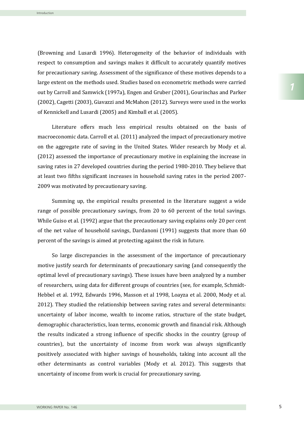(Browning and Lusardi 1996). Heterogeneity of the behavior of individuals with respect to consumption and savings makes it difficult to accurately quantify motives for precautionary saving. Assessment of the significance of these motives depends to a large extent on the methods used. Studies based on econometric methods were carried out by Carroll and Samwick (1997a), Engen and Gruber (2001), Gourinchas and Parker (2002), Cagetti (2003), Giavazzi and McMahon (2012). Surveys were used in the works of Kennickell and Lusardi (2005) and Kimball et al. (2005).

Literature offers much less empirical results obtained on the basis of macroeconomic data. Carroll et al. (2011) analyzed the impact of precautionary motive on the aggregate rate of saving in the United States. Wider research by Mody et al. (2012) assessed the importance of precautionary motive in explaining the increase in saving rates in 27 developed countries during the period 1980-2010. They believe that at least two fifths significant increases in household saving rates in the period 2007- 2009 was motivated by precautionary saving.

Summing up, the empirical results presented in the literature suggest a wide range of possible precautionary savings, from 20 to 60 percent of the total savings. While Guiso et al. (1992) argue that the precautionary saving explains only 20 per cent of the net value of household savings, Dardanoni (1991) suggests that more than 60 percent of the savings is aimed at protecting against the risk in future.

So large discrepancies in the assessment of the importance of precautionary motive justify search for determinants of precautionary saving (and consequently the optimal level of precautionary savings). These issues have been analyzed by a number of researchers, using data for different groups of countries (see, for example, Schmidt-Hebbel et al. 1992, Edwards 1996, Masson et al 1998, Loayza et al. 2000, Mody et al. 2012). They studied the relationship between saving rates and several determinants: uncertainty of labor income, wealth to income ratios, structure of the state budget, demographic characteristics, loan terms, economic growth and financial risk. Although the results indicated a strong influence of specific shocks in the country (group of countries), but the uncertainty of income from work was always significantly positively associated with higher savings of households, taking into account all the other determinants as control variables (Mody et al. 2012). This suggests that uncertainty of income from work is crucial for precautionary saving.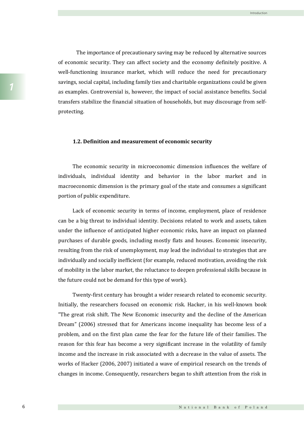The importance of precautionary saving may be reduced by alternative sources of economic security. They can affect society and the economy definitely positive. A well-functioning insurance market, which will reduce the need for precautionary savings, social capital, including family ties and charitable organizations could be given as examples. Controversial is, however, the impact of social assistance benefits. Social transfers stabilize the financial situation of households, but may discourage from selfprotecting.

Introduction

### **1.2. Definition and measurement of economic security**

The economic security in microeconomic dimension influences the welfare of individuals, individual identity and behavior in the labor market and in macroeconomic dimension is the primary goal of the state and consumes a significant portion of public expenditure.

Lack of economic security in terms of income, employment, place of residence can be a big threat to individual identity. Decisions related to work and assets, taken under the influence of anticipated higher economic risks, have an impact on planned purchases of durable goods, including mostly flats and houses. Economic insecurity, resulting from the risk of unemployment, may lead the individual to strategies that are individually and socially inefficient (for example, reduced motivation, avoiding the risk of mobility in the labor market, the reluctance to deepen professional skills because in the future could not be demand for this type of work).

Twenty-first century has brought a wider research related to economic security. Initially, the researchers focused on economic risk. Hacker, in his well-known book "The great risk shift. The New Economic insecurity and the decline of the American Dream" (2006) stressed that for Americans income inequality has become less of a problem, and on the first plan came the fear for the future life of their families. The reason for this fear has become a very significant increase in the volatility of family income and the increase in risk associated with a decrease in the value of assets. The works of Hacker (2006, 2007) initiated a wave of empirical research on the trends of changes in income. Consequently, researchers began to shift attention from the risk in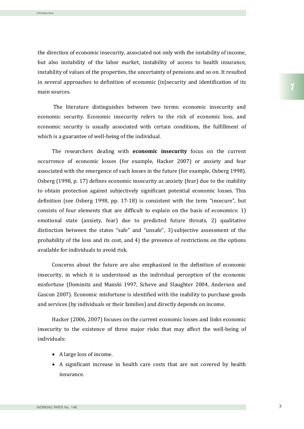the direction of economic insecurity, associated not only with the instability of income, but also instability of the labor market, instability of access to health insurance, instability of values of the properties, the uncertainty of pensions and so on. It resulted in several approaches to definition of economic (in)security and identification of its main sources.

The literature distinguishes between two terms: economic insecurity and economic security. Economic insecurity refers to the risk of economic loss, and economic security is usually associated with certain conditions, the fulfillment of which is a guarantee of well-being of the individual.

The researchers dealing with **economic insecurity** focus on the current occurrence of economic losses (for example, Hacker 2007) or anxiety and fear associated with the emergence of such losses in the future (for example, Osberg 1998). Osberg (1998, p. 17) defines economic insecurity as anxiety (fear) due to the inability to obtain protection against subjectively significant potential economic losses. This definition (see Osberg 1998, pp. 17-18) is consistent with the term "insecure", but consists of four elements that are difficult to explain on the basis of economics: 1) emotional state (anxiety, fear) due to predicted future threats, 2) qualitative distinction between the states "safe" and "unsafe", 3) subjective assessment of the probability of the loss and its cost, and 4) the presence of restrictions on the options available for individuals to avoid risk.

Concerns about the future are also emphasized in the definition of economic insecurity, in which it is understood as the individual perception of the economic misfortune (Dominitz and Manski 1997, Scheve and Slaughter 2004, Anderson and Gascon 2007). Economic misfortune is identified with the inability to purchase goods and services (by individuals or their families) and directly depends on income.

Hacker (2006, 2007) focuses on the current economic losses and links economic insecurity to the existence of three major risks that may affect the well-being of individuals:

- A large loss of income.
- A significant increase in health care costs that are not covered by health insurance.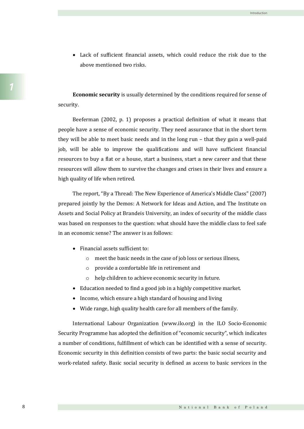Lack of sufficient financial assets, which could reduce the risk due to the above mentioned two risks.

**Economic security** is usually determined by the conditions required for sense of security.

Beeferman (2002, p. 1) proposes a practical definition of what it means that people have a sense of economic security. They need assurance that in the short term they will be able to meet basic needs and in the long run – that they gain a well-paid job, will be able to improve the qualifications and will have sufficient financial resources to buy a flat or a house, start a business, start a new career and that these resources will allow them to survive the changes and crises in their lives and ensure a high quality of life when retired.

The report, "By a Thread: The New Experience of America's Middle Class" (2007) prepared jointly by the Demos: A Network for Ideas and Action, and The Institute on Assets and Social Policy at Brandeis University, an index of security of the middle class was based on responses to the question: what should have the middle class to feel safe in an economic sense? The answer is as follows:

- Financial assets sufficient to:
	- o meet the basic needs in the case of job loss or serious illness,
	- o provide a comfortable life in retirement and
	- o help children to achieve economic security in future.
- Education needed to find a good job in a highly competitive market.
- Income, which ensure a high standard of housing and living
- Wide range, high quality health care for all members of the family.

International Labour Organization (www.ilo.org) in the ILO Socio-Economic Security Programme has adopted the definition of "economic security", which indicates a number of conditions, fulfillment of which can be identified with a sense of security. Economic security in this definition consists of two parts: the basic social security and work-related safety. Basic social security is defined as access to basic services in the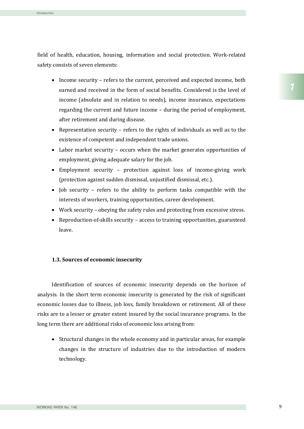field of health, education, housing, information and social protection. Work-related safety consists of seven elements:

- Income security refers to the current, perceived and expected income, both earned and received in the form of social benefits. Considered is the level of income (absolute and in relation to needs), income insurance, expectations regarding the current and future income – during the period of employment, after retirement and during disease.
- Representation security refers to the rights of individuals as well as to the existence of competent and independent trade unions.
- Labor market security occurs when the market generates opportunities of employment, giving adequate salary for the job.
- Employment security protection against loss of income-giving work (protection against sudden dismissal, unjustified dismissal, etc.).
- $\bullet$  Job security refers to the ability to perform tasks compatible with the interests of workers, training opportunities, career development.
- Work security obeying the safety rules and protecting from excessive stress.
- Reproduction-of-skills security access to training opportunities, guaranteed leave.

## **1.3. Sources of economic insecurity**

Identification of sources of economic insecurity depends on the horizon of analysis. In the short term economic insecurity is generated by the risk of significant economic losses due to illness, job loss, family breakdown or retirement. All of these risks are to a lesser or greater extent insured by the social insurance programs. In the long term there are additional risks of economic loss arising from:

• Structural changes in the whole economy and in particular areas, for example changes in the structure of industries due to the introduction of modern technology.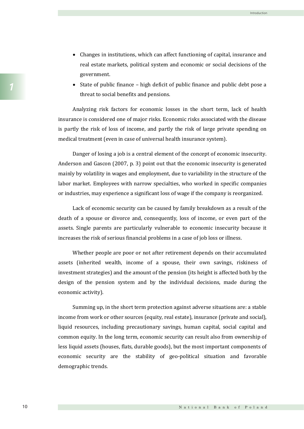- Changes in institutions, which can affect functioning of capital, insurance and real estate markets, political system and economic or social decisions of the government.
- $\bullet$  State of public finance high deficit of public finance and public debt pose a threat to social benefits and pensions.

Analyzing risk factors for economic losses in the short term, lack of health insurance is considered one of major risks. Economic risks associated with the disease is partly the risk of loss of income, and partly the risk of large private spending on medical treatment (even in case of universal health insurance system).

Danger of losing a job is a central element of the concept of economic insecurity. Anderson and Gascon (2007, p. 3) point out that the economic insecurity is generated mainly by volatility in wages and employment, due to variability in the structure of the labor market. Employees with narrow specialties, who worked in specific companies or industries, may experience a significant loss of wage if the company is reorganized.

Lack of economic security can be caused by family breakdown as a result of the death of a spouse or divorce and, consequently, loss of income, or even part of the assets. Single parents are particularly vulnerable to economic insecurity because it increases the risk of serious financial problems in a case of job loss or illness.

Whether people are poor or not after retirement depends on their accumulated assets (inherited wealth, income of a spouse, their own savings, riskiness of investment strategies) and the amount of the pension (its height is affected both by the design of the pension system and by the individual decisions, made during the economic activity).

Summing up, in the short term protection against adverse situations are: a stable income from work or other sources (equity, real estate), insurance (private and social), liquid resources, including precautionary savings, human capital, social capital and common equity. In the long term, economic security can result also from ownership of less liquid assets (houses, flats, durable goods), but the most important components of economic security are the stability of geo-political situation and favorable demographic trends.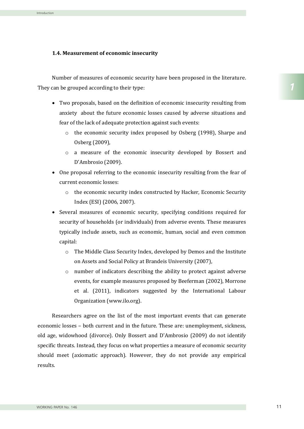## **1.4. Measurement of economic insecurity**

Number of measures of economic security have been proposed in the literature. They can be grouped according to their type:

- Two proposals, based on the definition of economic insecurity resulting from anxiety about the future economic losses caused by adverse situations and fear of the lack of adequate protection against such events:
	- $\circ$  the economic security index proposed by Osberg (1998), Sharpe and Osberg (2009),
	- o a measure of the economic insecurity developed by Bossert and D'Ambrosio (2009).
- One proposal referring to the economic insecurity resulting from the fear of current economic losses:
	- o the economic security index constructed by Hacker, Economic Security Index (ESI) (2006, 2007).
- Several measures of economic security, specifying conditions required for security of households (or individuals) from adverse events. These measures typically include assets, such as economic, human, social and even common capital:
	- o The Middle Class Security Index, developed by Demos and the Institute on Assets and Social Policy at Brandeis University (2007),
	- $\circ$  number of indicators describing the ability to protect against adverse events, for example measures proposed by Beeferman (2002), Morrone et al. (2011), indicators suggested by the International Labour Organization (www.ilo.org).

Researchers agree on the list of the most important events that can generate economic losses – both current and in the future. These are: unemployment, sickness, old age, widowhood (divorce). Only Bossert and D'Ambrosio (2009) do not identify specific threats. Instead, they focus on what properties a measure of economic security should meet (axiomatic approach). However, they do not provide any empirical results.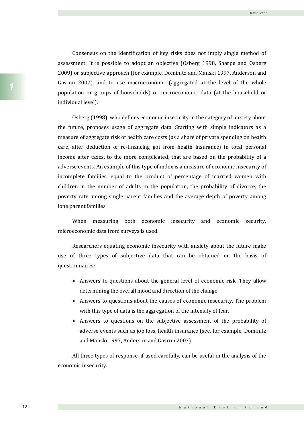Consensus on the identification of key risks does not imply single method of assessment. It is possible to adopt an objective (Osberg 1998, Sharpe and Osberg 2009) or subjective approach (for example, Dominitz and Manski 1997, Anderson and Gascon 2007), and to use macroeconomic (aggregated at the level of the whole population or groups of households) or microeconomic data (at the household or individual level).

Osberg (1998), who defines economic insecurity in the category of anxiety about the future, proposes usage of aggregate data. Starting with simple indicators as a measure of aggregate risk of health care costs (as a share of private spending on health care, after deduction of re-financing got from health insurance) in total personal income after taxes, to the more complicated, that are based on the probability of a adverse events. An example of this type of index is a measure of economic insecurity of incomplete families, equal to the product of percentage of married women with children in the number of adults in the population, the probability of divorce, the poverty rate among single parent families and the average depth of poverty among lone parent families.

When measuring both economic insecurity and economic security, microeconomic data from surveys is used.

Researchers equating economic insecurity with anxiety about the future make use of three types of subjective data that can be obtained on the basis of questionnaires:

- Answers to questions about the general level of economic risk. They allow determining the overall mood and direction of the change.
- Answers to questions about the causes of economic insecurity. The problem with this type of data is the aggregation of the intensity of fear.
- Answers to questions on the subjective assessment of the probability of adverse events such as job loss, health insurance (see, for example, Dominitz and Manski 1997, Anderson and Gascon 2007).

All three types of response, if used carefully, can be useful in the analysis of the economic insecurity.

Introduction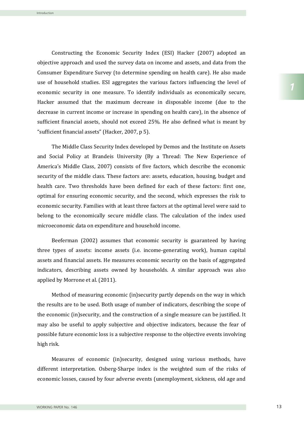Constructing the Economic Security Index (ESI) Hacker (2007) adopted an objective approach and used the survey data on income and assets, and data from the Consumer Expenditure Survey (to determine spending on health care). He also made use of household studies. ESI aggregates the various factors influencing the level of economic security in one measure. To identify individuals as economically secure, Hacker assumed that the maximum decrease in disposable income (due to the decrease in current income or increase in spending on health care), in the absence of sufficient financial assets, should not exceed 25%. He also defined what is meant by "sufficient financial assets" (Hacker, 2007, p 5).

The Middle Class Security Index developed by Demos and the Institute on Assets and Social Policy at Brandeis University (By a Thread: The New Experience of America's Middle Class, 2007) consists of five factors, which describe the economic security of the middle class. These factors are: assets, education, housing, budget and health care. Two thresholds have been defined for each of these factors: first one, optimal for ensuring economic security, and the second, which expresses the risk to economic security. Families with at least three factors at the optimal level were said to belong to the economically secure middle class. The calculation of the index used microeconomic data on expenditure and household income.

Beeferman (2002) assumes that economic security is guaranteed by having three types of assets: income assets (i.e. income-generating work), human capital assets and financial assets. He measures economic security on the basis of aggregated indicators, describing assets owned by households. A similar approach was also applied by Morrone et al. (2011).

Method of measuring economic (in)security partly depends on the way in which the results are to be used. Both usage of number of indicators, describing the scope of the economic (in)security, and the construction of a single measure can be justified. It may also be useful to apply subjective and objective indicators, because the fear of possible future economic loss is a subjective response to the objective events involving high risk.

Measures of economic (in)security, designed using various methods, have different interpretation. Osberg-Sharpe index is the weighted sum of the risks of economic losses, caused by four adverse events (unemployment, sickness, old age and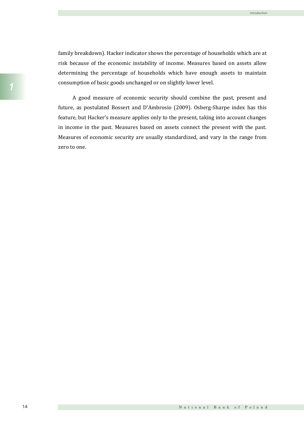family breakdown). Hacker indicator shows the percentage of households which are at risk because of the economic instability of income. Measures based on assets allow determining the percentage of households which have enough assets to maintain consumption of basic goods unchanged or on slightly lower level.

A good measure of economic security should combine the past, present and future, as postulated Bossert and D'Ambrosio (2009). Osberg-Sharpe index has this feature, but Hacker's measure applies only to the present, taking into account changes in income in the past. Measures based on assets connect the present with the past. Measures of economic security are usually standardized, and vary in the range from zero to one.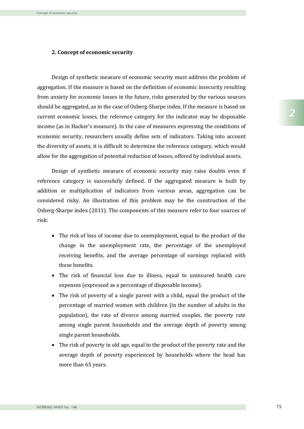#### **2. Concept of economic security**

Design of synthetic measure of economic security must address the problem of aggregation. If the measure is based on the definition of economic insecurity resulting from anxiety for economic losses in the future, risks generated by the various sources should be aggregated, as in the case of Osberg-Sharpe index. If the measure is based on current economic losses, the reference category for the indicator may be disposable income (as in Hacker's measure). In the case of measures expressing the conditions of economic security, researchers usually define sets of indicators. Taking into account the diversity of assets, it is difficult to determine the reference category, which would allow for the aggregation of potential reduction of losses, offered by individual assets.

Design of synthetic measure of economic security may raise doubts even if reference category is successfully defined. If the aggregated measure is built by addition or multiplication of indicators from various areas, aggregation can be considered risky. An illustration of this problem may be the construction of the Osberg-Sharpe index (2011). The components of this measure refer to four sources of risk:

- The risk of loss of income due to unemployment, equal to the product of the change in the unemployment rate, the percentage of the unemployed receiving benefits, and the average percentage of earnings replaced with these benefits.
- The risk of financial loss due to illness, equal to uninsured health care expenses (expressed as a percentage of disposable income).
- The risk of poverty of a single parent with a child, equal the product of the percentage of married women with children (in the number of adults in the population), the rate of divorce among married couples, the poverty rate among single parent households and the average depth of poverty among single parent households.
- The risk of poverty in old age, equal to the product of the poverty rate and the average depth of poverty experienced by households where the head has more than 65 years.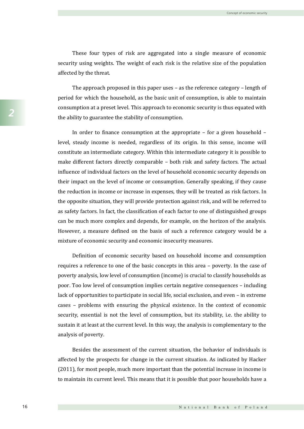These four types of risk are aggregated into a single measure of economic security using weights. The weight of each risk is the relative size of the population affected by the threat.

The approach proposed in this paper uses – as the reference category – length of period for which the household, as the basic unit of consumption, is able to maintain consumption at a preset level. This approach to economic security is thus equated with the ability to guarantee the stability of consumption.

In order to finance consumption at the appropriate – for a given household – level, steady income is needed, regardless of its origin. In this sense, income will constitute an intermediate category. Within this intermediate category it is possible to make different factors directly comparable – both risk and safety factors. The actual influence of individual factors on the level of household economic security depends on their impact on the level of income or consumption. Generally speaking, if they cause the reduction in income or increase in expenses, they will be treated as risk factors. In the opposite situation, they will provide protection against risk, and will be referred to as safety factors. In fact, the classification of each factor to one of distinguished groups can be much more complex and depends, for example, on the horizon of the analysis. However, a measure defined on the basis of such a reference category would be a mixture of economic security and economic insecurity measures.

Definition of economic security based on household income and consumption requires a reference to one of the basic concepts in this area – poverty. In the case of poverty analysis, low level of consumption (income) is crucial to classify households as poor. Too low level of consumption implies certain negative consequences – including lack of opportunities to participate in social life, social exclusion, and even – in extreme cases – problems with ensuring the physical existence. In the context of economic security, essential is not the level of consumption, but its stability, i.e. the ability to sustain it at least at the current level. In this way, the analysis is complementary to the analysis of poverty.

Besides the assessment of the current situation, the behavior of individuals is affected by the prospects for change in the current situation. As indicated by Hacker (2011), for most people, much more important than the potential increase in income is to maintain its current level. This means that it is possible that poor households have a

*2*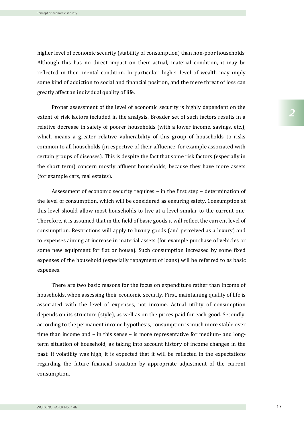higher level of economic security (stability of consumption) than non-poor households. Although this has no direct impact on their actual, material condition, it may be reflected in their mental condition. In particular, higher level of wealth may imply some kind of addiction to social and financial position, and the mere threat of loss can greatly affect an individual quality of life.

Proper assessment of the level of economic security is highly dependent on the extent of risk factors included in the analysis. Broader set of such factors results in a relative decrease in safety of poorer households (with a lower income, savings, etc.), which means a greater relative vulnerability of this group of households to risks common to all households (irrespective of their affluence, for example associated with certain groups of diseases). This is despite the fact that some risk factors (especially in the short term) concern mostly affluent households, because they have more assets (for example cars, real estates).

Assessment of economic security requires – in the first step – determination of the level of consumption, which will be considered as ensuring safety. Consumption at this level should allow most households to live at a level similar to the current one. Therefore, it is assumed that in the field of basic goods it will reflect the current level of consumption. Restrictions will apply to luxury goods (and perceived as a luxury) and to expenses aiming at increase in material assets (for example purchase of vehicles or some new equipment for flat or house). Such consumption increased by some fixed expenses of the household (especially repayment of loans) will be referred to as basic expenses.

There are two basic reasons for the focus on expenditure rather than income of households, when assessing their economic security. First, maintaining quality of life is associated with the level of expenses, not income. Actual utility of consumption depends on its structure (style), as well as on the prices paid for each good. Secondly, according to the permanent income hypothesis, consumption is much more stable over time than income and – in this sense – is more representative for medium- and longterm situation of household, as taking into account history of income changes in the past. If volatility was high, it is expected that it will be reflected in the expectations regarding the future financial situation by appropriate adjustment of the current consumption.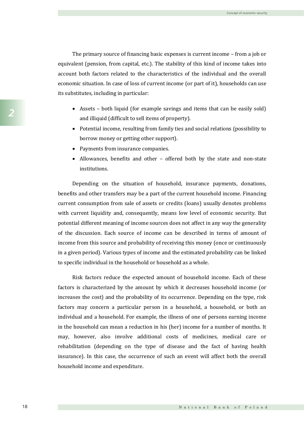The primary source of financing basic expenses is current income – from a job or equivalent (pension, from capital, etc.). The stability of this kind of income takes into account both factors related to the characteristics of the individual and the overall economic situation. In case of loss of current income (or part of it), households can use its substitutes, including in particular:

- Assets both liquid (for example savings and items that can be easily sold) and illiquid (difficult to sell items of property).
- Potential income, resulting from family ties and social relations (possibility to borrow money or getting other support).
- Payments from insurance companies.
- Allowances, benefits and other offered both by the state and non-state institutions.

Depending on the situation of household, insurance payments, donations, benefits and other transfers may be a part of the current household income. Financing current consumption from sale of assets or credits (loans) usually denotes problems with current liquidity and, consequently, means low level of economic security. But potential different meaning of income sources does not affect in any way the generality of the discussion. Each source of income can be described in terms of amount of income from this source and probability of receiving this money (once or continuously in a given period). Various types of income and the estimated probability can be linked to specific individual in the household or household as a whole.

Risk factors reduce the expected amount of household income. Each of these factors is characterized by the amount by which it decreases household income (or increases the cost) and the probability of its occurrence. Depending on the type, risk factors may concern a particular person in a household, a household, or both an individual and a household. For example, the illness of one of persons earning income in the household can mean a reduction in his (her) income for a number of months. It may, however, also involve additional costs of medicines, medical care or rehabilitation (depending on the type of disease and the fact of having health insurance). In this case, the occurrence of such an event will affect both the overall household income and expenditure.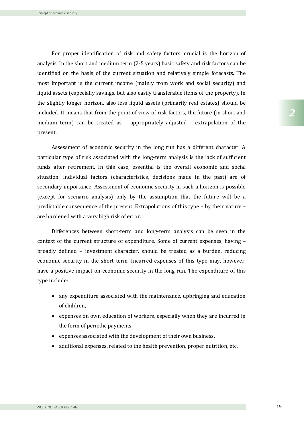For proper identification of risk and safety factors, crucial is the horizon of analysis. In the short and medium term (2-5 years) basic safety and risk factors can be identified on the basis of the current situation and relatively simple forecasts. The most important is the current income (mainly from work and social security) and liquid assets (especially savings, but also easily transferable items of the property). In the slightly longer horizon, also less liquid assets (primarily real estates) should be included. It means that from the point of view of risk factors, the future (in short and medium term) can be treated as – appropriately adjusted – extrapolation of the present.

Assessment of economic security in the long run has a different character. A particular type of risk associated with the long-term analysis is the lack of sufficient funds after retirement. In this case, essential is the overall economic and social situation. Individual factors (characteristics, decisions made in the past) are of secondary importance. Assessment of economic security in such a horizon is possible (except for scenario analysis) only by the assumption that the future will be a predictable consequence of the present. Extrapolations of this type – by their nature – are burdened with a very high risk of error.

Differences between short-term and long-term analysis can be seen in the context of the current structure of expenditure. Some of current expenses, having – broadly defined – investment character, should be treated as a burden, reducing economic security in the short term. Incurred expenses of this type may, however, have a positive impact on economic security in the long run. The expenditure of this type include:

- any expenditure associated with the maintenance, upbringing and education of children,
- expenses on own education of workers, especially when they are incurred in the form of periodic payments,
- expenses associated with the development of their own business,
- additional expenses, related to the health prevention, proper nutrition, etc.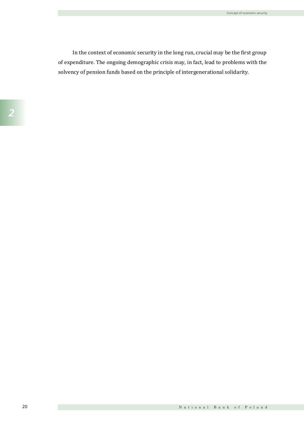In the context of economic security in the long run, crucial may be the first group of expenditure. The ongoing demographic crisis may, in fact, lead to problems with the solvency of pension funds based on the principle of intergenerational solidarity.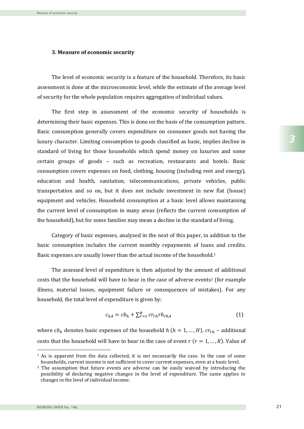Measure of economic security

#### **3. Measure of economic security**

The level of economic security is a feature of the household. Therefore, its basic assessment is done at the microeconomic level, while the estimate of the average level of security for the whole population requires aggregation of individual values.

The first step in assessment of the economic security of households is determining their basic expenses. This is done on the basis of the consumption pattern. Basic consumption generally covers expenditure on consumer goods not having the luxury character. Limiting consumption to goods classified as basic, implies decline in standard of living for those households which spend money on luxuries and some certain groups of goods – such as recreation, restaurants and hotels. Basic consumption covers expenses on food, clothing, housing (including rent and energy), education and health, sanitation, telecommunications, private vehicles, public transportation and so on, but it does not include investment in new flat (house) equipment and vehicles. Household consumption at a basic level allows maintaining the current level of consumption in many areas (reflects the current consumption of the household), but for some families may mean a decline in the standard of living.

Category of basic expenses, analyzed in the next of this paper, in addition to the basic consumption includes the current monthly repayments of loans and credits. Basic expenses are usually lower than the actual income of the household. 1

The assessed level of expenditure is then adjusted by the amount of additional costs that the household will have to bear in the case of adverse events<sup>2</sup> (for example illness, material losses, equipment failure or consequences of mistakes). For any household, the total level of expenditure is given by:

$$
c_{hA} = cb_h + \sum_{r=1}^{R} cr_{rh}rh_{rhA} \tag{1}
$$

where  $cb<sub>h</sub>$  denotes basic expenses of the household  $h$  ( $h = 1, ..., H$ ),  $cr<sub>rh</sub>$  – additional costs that the household will have to bear in the case of event  $r$  ( $r = 1, ..., R$ ). Value of

**.** 

<sup>1</sup> As is apparent from the data collected, it is not necessarily the case. In the case of some households, current income is not sufficient to cover current expenses, even at a basic level.

 $2$  The assumption that future events are adverse can be easily waived by introducing the possibility of declaring negative changes in the level of expenditure. The same applies to changes in the level of individual income.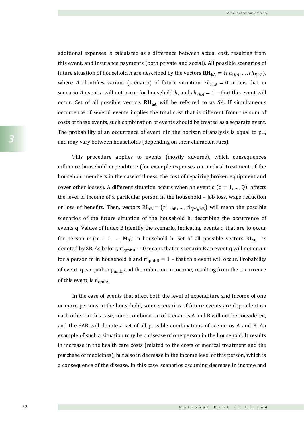additional expenses is calculated as a difference between actual cost, resulting from this event, and insurance payments (both private and social). All possible scenarios of future situation of household h are described by the vectors  $\textbf{RH}_{\textbf{hA}} = (rh_{1hA}, ..., rh_{RhA}),$ where A identifies variant (scenario) of future situation.  $rh<sub>rh<sub>A</sub></sub> = 0$  means that in scenario A event r will not occur for household h, and  $rh_{rhA} = 1$  – that this event will occur. Set of all possible vectors  $RH_{hA}$  will be referred to as SA. If simultaneous occurrence of several events implies the total cost that is different from the sum of costs of these events, such combination of events should be treated as a separate event. The probability of an occurrence of event r in the horizon of analysis is equal to  $p_{rh}$ and may vary between households (depending on their characteristics).

This procedure applies to events (mostly adverse), which consequences influence household expenditure (for example expenses on medical treatment of the household members in the case of illness, the cost of repairing broken equipment and cover other losses). A different situation occurs when an event  $q (q = 1, ..., Q)$  affects the level of income of a particular person in the household – job loss, wage reduction or loss of benefits. Then, vectors  $RI_{hB} = (ri_{11hB}, ..., ri_{OM_hhB})$  will mean the possible scenarios of the future situation of the household h, describing the occurrence of events q. Values of index B identify the scenario, indicating events q that are to occur for person m ( $m = 1$ , ...,  $M_h$ ) in household h. Set of all possible vectors  $Rl_{hB}$  is denoted by SB. As before,  $ri_{\text{amhB}} = 0$  means that in scenario B an event q will not occur for a person m in household h and  $ri_{\text{amhB}} = 1$  – that this event will occur. Probability of event q is equal to  $p_{\text{amh}}$  and the reduction in income, resulting from the occurrence of this event, is  $d_{\text{qmh}}$ .

In the case of events that affect both the level of expenditure and income of one or more persons in the household, some scenarios of future events are dependent on each other. In this case, some combination of scenarios A and B will not be considered. and the SAB will denote a set of all possible combinations of scenarios A and B. An example of such a situation may be a disease of one person in the household. It results in increase in the health care costs (related to the costs of medical treatment and the purchase of medicines), but also in decrease in the income level of this person, which is a consequence of the disease. In this case, scenarios assuming decrease in income and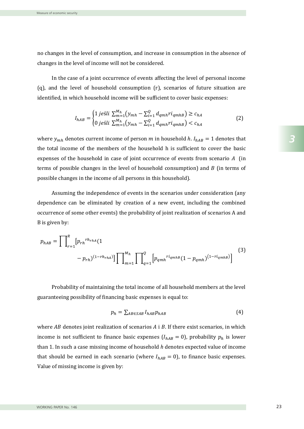no changes in the level of consumption, and increase in consumption in the absence of changes in the level of income will not be considered.

In the case of a joint occurrence of events affecting the level of personal income  $(q)$ , and the level of household consumption  $(r)$ , scenarios of future situation are identified, in which household income will be sufficient to cover basic expenses:

$$
I_{hAB} = \begin{cases} 1 \ j \ e \ \xi \ i \ \sum_{m=1}^{M_h} (y_{mh} - \sum_{i=1}^Q d_{qmh} r i_{qmh} ) \geq c_{hA} \\ 0 \ j \ e \ \xi \ i \ \sum_{m=1}^{M_h} (y_{mh} - \sum_{i=1}^Q d_{qmh} r i_{qmh} ) < c_{hA} \end{cases} \tag{2}
$$

where  $y_{mh}$  denotes current income of person m in household h.  $I_{hAB} = 1$  denotes that the total income of the members of the household h is sufficient to cover the basic expenses of the household in case of joint occurrence of events from scenario  $A$  (in terms of possible changes in the level of household consumption) and  $B$  (in terms of possible changes in the income of all persons in this household).

Assuming the independence of events in the scenarios under consideration (any dependence can be eliminated by creation of a new event, including the combined occurrence of some other events) the probability of joint realization of scenarios A and B is given by:

$$
p_{hAB} = \prod_{r=1}^{R} [p_{rh}^{rh_{rhA}}(1 - p_{rh})] \prod_{m=1}^{M_h} \prod_{q=1}^{Q} [p_{qmh}^{ri_{qmhB}}(1 - p_{qmh})^{(1 - ri_{qmhB})}]
$$
(3)

Probability of maintaining the total income of all household members at the level guaranteeing possibility of financing basic expenses is equal to:

$$
p_h = \sum_{AB \in SAB} I_{hAB} p_{hAB} \tag{4}
$$

where  $AB$  denotes joint realization of scenarios  $A$  i  $B$ . If there exist scenarios, in which income is not sufficient to finance basic expenses  $(I_{hAB} = 0)$ , probability  $p_h$  is lower than 1. In such a case missing income of household *h* denotes expected value of income that should be earned in each scenario (where  $I_{hAB} = 0$ ), to finance basic expenses. Value of missing income is given by:

*3*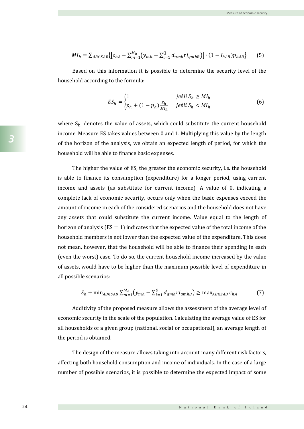$$
MI_h = \sum_{AB \in SAB} \{ [c_{hA} - \sum_{m=1}^{M_h} (y_{mh} - \sum_{i=1}^{Q} d_{qmh} r i_{qmhB})] \cdot (1 - I_{hAB}) p_{hAB} \}
$$
(5)

Based on this information it is possible to determine the security level of the household according to the formula:

$$
ES_h = \begin{cases} 1 & j \neq \text{si } S_h \geq M I_h \\ p_h + (1 - p_h) \frac{S_h}{M I_h} & j \neq \text{si } S_h < M I_h \end{cases} \tag{6}
$$

where  $S_h$  denotes the value of assets, which could substitute the current household income. Measure ES takes values between 0 and 1. Multiplying this value by the length of the horizon of the analysis, we obtain an expected length of period, for which the household will be able to finance basic expenses.

The higher the value of ES, the greater the economic security, i.e. the household is able to finance its consumption (expenditure) for a longer period, using current income and assets (as substitute for current income). A value of 0, indicating a complete lack of economic security, occurs only when the basic expenses exceed the amount of income in each of the considered scenarios and the household does not have any assets that could substitute the current income. Value equal to the length of horizon of analysis ( $ES = 1$ ) indicates that the expected value of the total income of the household members is not lower than the expected value of the expenditure. This does not mean, however, that the household will be able to finance their spending in each (even the worst) case. To do so, the current household income increased by the value of assets, would have to be higher than the maximum possible level of expenditure in all possible scenarios:

$$
S_h + \min_{AB \in SAB} \sum_{m=1}^{M_h} (y_{mh} - \sum_{i=1}^{Q} d_{qmh} r i_{qmhB}) \geq \max_{AB \in SAB} c_{hA} \tag{7}
$$

Additivity of the proposed measure allows the assessment of the average level of economic security in the scale of the population. Calculating the average value of ES for all households of a given group (national, social or occupational), an average length of the period is obtained.

The design of the measure allows taking into account many different risk factors, affecting both household consumption and income of individuals. In the case of a large number of possible scenarios, it is possible to determine the expected impact of some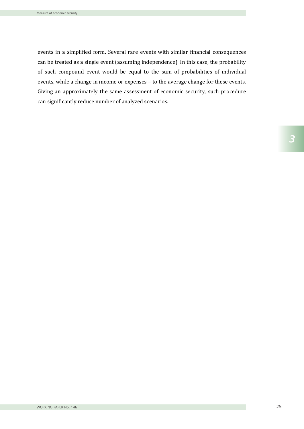events in a simplified form. Several rare events with similar financial consequences can be treated as a single event (assuming independence). In this case, the probability of such compound event would be equal to the sum of probabilities of individual events, while a change in income or expenses – to the average change for these events. Giving an approximately the same assessment of economic security, such procedure can significantly reduce number of analyzed scenarios.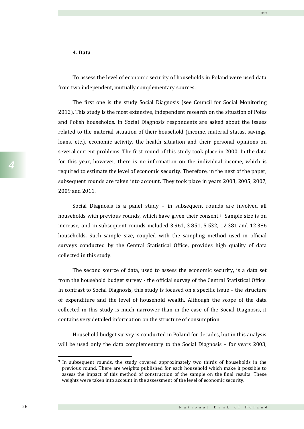### **4. Data**

To assess the level of economic security of households in Poland were used data from two independent, mutually complementary sources.

The first one is the study Social Diagnosis (see Council for Social Monitoring 2012). This study is the most extensive, independent research on the situation of Poles and Polish households. In Social Diagnosis respondents are asked about the issues related to the material situation of their household (income, material status, savings, loans, etc.), economic activity, the health situation and their personal opinions on several current problems. The first round of this study took place in 2000. In the data for this year, however, there is no information on the individual income, which is required to estimate the level of economic security. Therefore, in the next of the paper, subsequent rounds are taken into account. They took place in years 2003, 2005, 2007, 2009 and 2011.

Social Diagnosis is a panel study – in subsequent rounds are involved all households with previous rounds, which have given their consent.3 Sample size is on increase, and in subsequent rounds included 3 961, 3 851, 5 532, 12 381 and 12 386 households. Such sample size, coupled with the sampling method used in official surveys conducted by the Central Statistical Office, provides high quality of data collected in this study.

The second source of data, used to assess the economic security, is a data set from the household budget survey - the official survey of the Central Statistical Office. In contrast to Social Diagnosis, this study is focused on a specific issue – the structure of expenditure and the level of household wealth. Although the scope of the data collected in this study is much narrower than in the case of the Social Diagnosis, it contains very detailed information on the structure of consumption.

Household budget survey is conducted in Poland for decades, but in this analysis will be used only the data complementary to the Social Diagnosis – for years 2003,

l

<sup>3</sup> In subsequent rounds, the study covered approximately two thirds of households in the previous round. There are weights published for each household which make it possible to assess the impact of this method of construction of the sample on the final results. These weights were taken into account in the assessment of the level of economic security.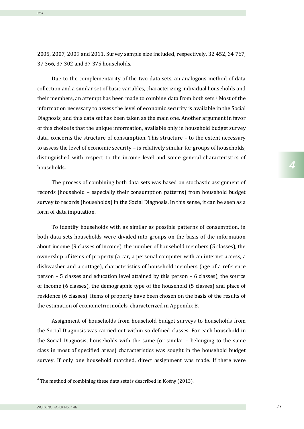2005, 2007, 2009 and 2011. Survey sample size included, respectively, 32 452, 34 767, 37 366, 37 302 and 37 375 households.

Due to the complementarity of the two data sets, an analogous method of data collection and a similar set of basic variables, characterizing individual households and their members, an attempt has been made to combine data from both sets. <sup>4</sup> Most of the information necessary to assess the level of economic security is available in the Social Diagnosis, and this data set has been taken as the main one. Another argument in favor of this choice is that the unique information, available only in household budget survey data, concerns the structure of consumption. This structure – to the extent necessary to assess the level of economic security – is relatively similar for groups of households, distinguished with respect to the income level and some general characteristics of households.

The process of combining both data sets was based on stochastic assignment of records (household – especially their consumption patterns) from household budget survey to records (households) in the Social Diagnosis. In this sense, it can be seen as a form of data imputation.

To identify households with as similar as possible patterns of consumption, in both data sets households were divided into groups on the basis of the information about income (9 classes of income), the number of household members (5 classes), the ownership of items of property (a car, a personal computer with an internet access, a dishwasher and a cottage), characteristics of household members (age of a reference person – 5 classes and education level attained by this person – 6 classes), the source of income (6 classes), the demographic type of the household (5 classes) and place of residence (6 classes). Items of property have been chosen on the basis of the results of the estimation of econometric models, characterized in Appendix B.

Assignment of households from household budget surveys to households from the Social Diagnosis was carried out within so defined classes. For each household in the Social Diagnosis, households with the same (or similar – belonging to the same class in most of specified areas) characteristics was sought in the household budget survey. If only one household matched, direct assignment was made. If there were

<sup>4</sup> The method of combining these data sets is described in Kośny (2013).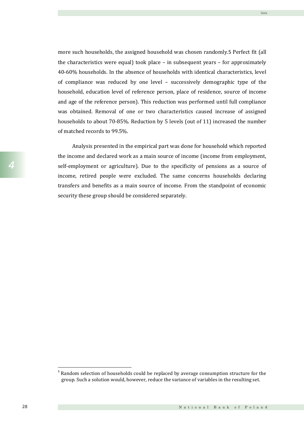more such households, the assigned household was chosen randomly.5 Perfect fit (all the characteristics were equal) took place – in subsequent years – for approximately 40-60% households. In the absence of households with identical characteristics, level of compliance was reduced by one level – successively demographic type of the household, education level of reference person, place of residence, source of income and age of the reference person). This reduction was performed until full compliance was obtained. Removal of one or two characteristics caused increase of assigned households to about 70-85%. Reduction by 5 levels (out of 11) increased the number of matched records to 99.5%.

Analysis presented in the empirical part was done for household which reported the income and declared work as a main source of income (income from employment, self-employment or agriculture). Due to the specificity of pensions as a source of income, retired people were excluded. The same concerns households declaring transfers and benefits as a main source of income. From the standpoint of economic security these group should be considered separately.

<sup>&</sup>lt;sup>5</sup> Random selection of households could be replaced by average consumption structure for the group. Such a solution would, however, reduce the variance of variables in the resulting set.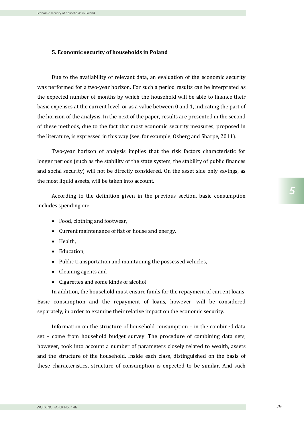## **5. Economic security of households in Poland**

Due to the availability of relevant data, an evaluation of the economic security was performed for a two-year horizon. For such a period results can be interpreted as the expected number of months by which the household will be able to finance their basic expenses at the current level, or as a value between 0 and 1, indicating the part of the horizon of the analysis. In the next of the paper, results are presented in the second of these methods, due to the fact that most economic security measures, proposed in the literature, is expressed in this way (see, for example, Osberg and Sharpe, 2011).

Two-year horizon of analysis implies that the risk factors characteristic for longer periods (such as the stability of the state system, the stability of public finances and social security) will not be directly considered. On the asset side only savings, as the most liquid assets, will be taken into account.

According to the definition given in the previous section, basic consumption includes spending on:

- Food, clothing and footwear,
- Current maintenance of flat or house and energy,
- Health.
- Education,
- Public transportation and maintaining the possessed vehicles,
- Cleaning agents and
- Cigarettes and some kinds of alcohol.

In addition, the household must ensure funds for the repayment of current loans. Basic consumption and the repayment of loans, however, will be considered separately, in order to examine their relative impact on the economic security.

Information on the structure of household consumption – in the combined data set – come from household budget survey. The procedure of combining data sets, however, took into account a number of parameters closely related to wealth, assets and the structure of the household. Inside each class, distinguished on the basis of these characteristics, structure of consumption is expected to be similar. And such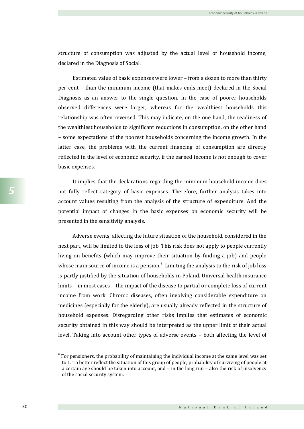structure of consumption was adjusted by the actual level of household income, declared in the Diagnosis of Social.

Estimated value of basic expenses were lower – from a dozen to more than thirty per cent – than the minimum income (that makes ends meet) declared in the Social Diagnosis as an answer to the single question. In the case of poorer households observed differences were larger, whereas for the wealthiest households this relationship was often reversed. This may indicate, on the one hand, the readiness of the wealthiest households to significant reductions in consumption, on the other hand – some expectations of the poorest households concerning the income growth. In the latter case, the problems with the current financing of consumption are directly reflected in the level of economic security, if the earned income is not enough to cover basic expenses.

It implies that the declarations regarding the minimum household income does not fully reflect category of basic expenses. Therefore, further analysis takes into account values resulting from the analysis of the structure of expenditure. And the potential impact of changes in the basic expenses on economic security will be presented in the sensitivity analysis.

Adverse events, affecting the future situation of the household, considered in the next part, will be limited to the loss of job. This risk does not apply to people currently living on benefits (which may improve their situation by finding a job) and people whose main source of income is a pension. $6$  Limiting the analysis to the risk of job loss is partly justified by the situation of households in Poland. Universal health insurance limits – in most cases – the impact of the disease to partial or complete loss of current income from work. Chronic diseases, often involving considerable expenditure on medicines (especially for the elderly), are usually already reflected in the structure of household expenses. Disregarding other risks implies that estimates of economic security obtained in this way should be interpreted as the upper limit of their actual level. Taking into account other types of adverse events – both affecting the level of

 $6$  For pensioners, the probability of maintaining the individual income at the same level was set to 1. To better reflect the situation of this group of people, probability of surviving of people at a certain age should be taken into account, and – in the long run – also the risk of insolvency of the social security system.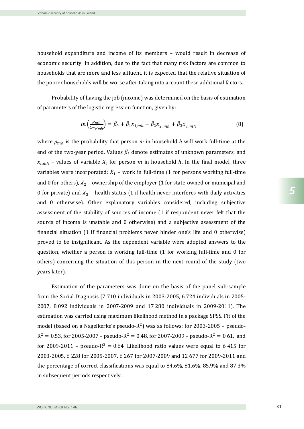household expenditure and income of its members – would result in decrease of economic security. In addition, due to the fact that many risk factors are common to households that are more and less affluent, it is expected that the relative situation of the poorer households will be worse after taking into account these additional factors.

Probability of having the job (income) was determined on the basis of estimation of parameters of the logistic regression function, given by:

$$
ln\left(\frac{p_{mh}}{1-p_{mh}}\right) = \hat{\beta}_0 + \hat{\beta}_1 x_{1,mh} + \hat{\beta}_2 x_{2, mh} + \hat{\beta}_3 x_{3, mh}
$$
(8)

where  $p_{mh}$  is the probability that person m in household h will work full-time at the end of the two-year period. Values  $\hat{\beta}_i$  denote estimates of unknown parameters, and  $x_{i,mh}$  – values of variable  $X_i$  for person m in household h. In the final model, three variables were incorporated:  $X_1$  – work in full-time (1 for persons working full-time and 0 for others),  $X_2$  – ownership of the employer (1 for state-owned or municipal and 0 for private) and  $X_3$  – health status (1 if health never interferes with daily activities and 0 otherwise). Other explanatory variables considered, including subjective assessment of the stability of sources of income (1 if respondent never felt that the source of income is unstable and 0 otherwise) and a subjective assessment of the financial situation (1 if financial problems never hinder one's life and 0 otherwise) proved to be insignificant. As the dependent variable were adopted answers to the question, whether a person is working full-time (1 for working full-time and 0 for others) concerning the situation of this person in the next round of the study (two years later).

Estimation of the parameters was done on the basis of the panel sub-sample from the Social Diagnosis (7 710 individuals in 2003-2005, 6 724 individuals in 2005- 2007, 8 092 individuals in 2007-2009 and 17 280 individuals in 2009-2011). The estimation was carried using maximum likelihood method in a package SPSS. Fit of the model (based on a Nagelkerke's pseudo- $R^2$ ) was as follows: for 2003-2005 – pseudo- $R^2 = 0.53$ , for 2005-2007 – pseudo- $R^2 = 0.48$ , for 2007-2009 – pseudo- $R^2 = 0.61$ , and for 2009-2011 – pseudo- $R^2 = 0.64$ . Likelihood ratio values were equal to 6415 for 2003-2005, 6 228 for 2005-2007, 6 267 for 2007-2009 and 12 677 for 2009-2011 and the percentage of correct classifications was equal to 84.6%, 81.6%, 85.9% and 87.3% in subsequent periods respectively.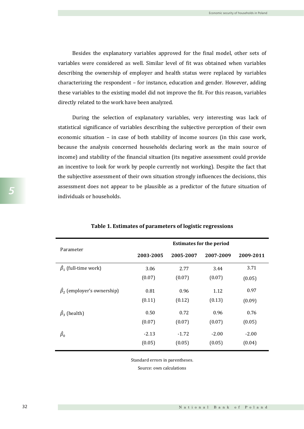Besides the explanatory variables approved for the final model, other sets of variables were considered as well. Similar level of fit was obtained when variables describing the ownership of employer and health status were replaced by variables characterizing the respondent – for instance, education and gender. However, adding these variables to the existing model did not improve the fit. For this reason, variables directly related to the work have been analyzed.

During the selection of explanatory variables, very interesting was lack of statistical significance of variables describing the subjective perception of their own economic situation – in case of both stability of income sources (in this case work, because the analysis concerned households declaring work as the main source of income) and stability of the financial situation (its negative assessment could provide an incentive to look for work by people currently not working). Despite the fact that the subjective assessment of their own situation strongly influences the decisions, this assessment does not appear to be plausible as a predictor of the future situation of individuals or households.

| Parameter                        | <b>Estimates for the period</b> |           |           |           |
|----------------------------------|---------------------------------|-----------|-----------|-----------|
|                                  | 2003-2005                       | 2005-2007 | 2007-2009 | 2009-2011 |
| $\hat{\beta}_1$ (full-time work) | 3.06                            | 2.77      | 3.44      | 3.71      |
|                                  | (0.07)                          | (0.07)    | (0.07)    | (0.05)    |
| $\beta_2$ (employer's ownership) | 0.81                            | 0.96      | 1.12      | 0.97      |
|                                  | (0.11)                          | (0.12)    | (0.13)    | (0.09)    |
| $\hat{\beta}_3$ (health)         | 0.50                            | 0.72      | 0.96      | 0.76      |
|                                  | (0.07)                          | (0.07)    | (0.07)    | (0.05)    |
| $\hat{\beta}_0$                  | $-2.13$                         | $-1.72$   | $-2.00$   | $-2.00$   |
|                                  | (0.05)                          | (0.05)    | (0.05)    | (0.04)    |

## **Table 1. Estimates of parameters of logistic regressions**

Standard errors in parentheses.

Source: own calculations

*5*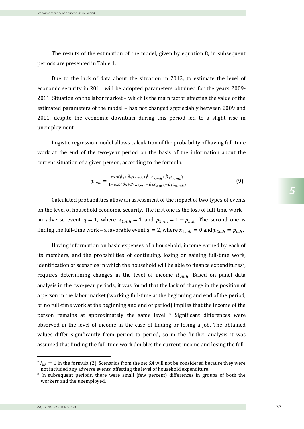The results of the estimation of the model, given by equation 8, in subsequent periods are presented in Table 1.

Due to the lack of data about the situation in 2013, to estimate the level of economic security in 2011 will be adopted parameters obtained for the years 2009- 2011. Situation on the labor market – which is the main factor affecting the value of the estimated parameters of the model – has not changed appreciably between 2009 and 2011, despite the economic downturn during this period led to a slight rise in unemployment.

Logistic regression model allows calculation of the probability of having full-time work at the end of the two-year period on the basis of the information about the current situation of a given person, according to the formula:

$$
p_{mh} = \frac{\exp(\hat{\beta}_0 + \hat{\beta}_1 x_{1,mh} + \hat{\beta}_2 x_{2,mh} + \hat{\beta}_3 x_{3,mh})}{1 + \exp(\hat{\beta}_0 + \hat{\beta}_1 x_{1,mh} + \hat{\beta}_2 x_{2,mh} + \hat{\beta}_3 x_{3,mh})}
$$
(9)

Calculated probabilities allow an assessment of the impact of two types of events on the level of household economic security. The first one is the loss of full-time work – an adverse event  $q = 1$ , where  $x_{1,mh} = 1$  and  $p_{1mh} = 1 - p_{mh}$ . The second one is finding the full-time work – a favorable event  $q = 2$ , where  $x_{1,mh} = 0$  and  $p_{2mh} = p_{mh}$ .

Having information on basic expenses of a household, income earned by each of its members, and the probabilities of continuing, losing or gaining full-time work, identification of scenarios in which the household will be able to finance expenditures7, requires determining changes in the level of income  $d_{amh}$ . Based on panel data analysis in the two-year periods, it was found that the lack of change in the position of a person in the labor market (working full-time at the beginning and end of the period, or no full-time work at the beginning and end of period) implies that the income of the person remains at approximately the same level. <sup>8</sup> Significant differences were observed in the level of income in the case of finding or losing a job. The obtained values differ significantly from period to period, so in the further analysis it was assumed that finding the full-time work doubles the current income and losing the full-

 $\overline{a}$ 

 $^{7}I_{hB} = 1$  in the formula (2). Scenarios from the set *SA* will not be considered because they were not included any adverse events, affecting the level of household expenditure.

<sup>8</sup> In subsequent periods, there were small (few percent) differences in groups of both the workers and the unemployed.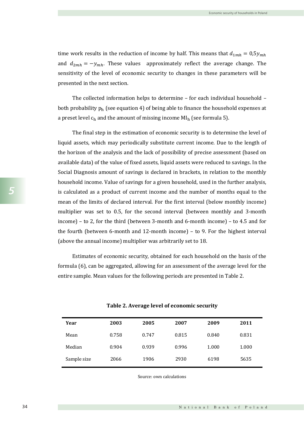time work results in the reduction of income by half. This means that  $d_{1mh} = 0.5y_{mh}$ and  $d_{2mh} = -y_{mh}$ . These values approximately reflect the average change. The sensitivity of the level of economic security to changes in these parameters will be presented in the next section.

The collected information helps to determine – for each individual household – both probability  $p_h$  (see equation 4) of being able to finance the household expenses at a preset level  $c_h$  and the amount of missing income MI<sub>h</sub> (see formula 5).

The final step in the estimation of economic security is to determine the level of liquid assets, which may periodically substitute current income. Due to the length of the horizon of the analysis and the lack of possibility of precise assessment (based on available data) of the value of fixed assets, liquid assets were reduced to savings. In the Social Diagnosis amount of savings is declared in brackets, in relation to the monthly household income. Value of savings for a given household, used in the further analysis, is calculated as a product of current income and the number of months equal to the mean of the limits of declared interval. For the first interval (below monthly income) multiplier was set to 0.5, for the second interval (between monthly and 3-month income) – to 2, for the third (between 3-month and 6-month income) – to 4.5 and for the fourth (between 6-month and 12-month income) – to 9. For the highest interval (above the annual income) multiplier was arbitrarily set to 18.

Estimates of economic security, obtained for each household on the basis of the formula (6), can be aggregated, allowing for an assessment of the average level for the entire sample. Mean values for the following periods are presented in Table 2.

| Year        | 2003  | 2005  | 2007  | 2009  | 2011  |
|-------------|-------|-------|-------|-------|-------|
| Mean        | 0.758 | 0.747 | 0.815 | 0.840 | 0.831 |
| Median      | 0.904 | 0.939 | 0.996 | 1.000 | 1.000 |
| Sample size | 2066  | 1906  | 2930  | 6198  | 5635  |

## **Table 2. Average level of economic security**

Source: own calculations

*5*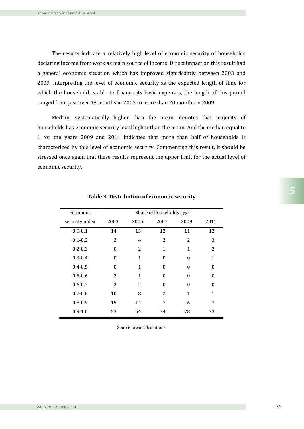The results indicate a relatively high level of economic security of households declaring income from work as main source of income. Direct impact on this result had a general economic situation which has improved significantly between 2003 and 2009. Interpreting the level of economic security as the expected length of time for which the household is able to finance its basic expenses, the length of this period ranged from just over 18 months in 2003 to more than 20 months in 2009.

Median, systematically higher than the mean, denotes that majority of households has economic security level higher than the mean. And the median equal to 1 for the years 2009 and 2011 indicates that more than half of households is characterized by this level of economic security. Commenting this result, it should be stressed once again that these results represent the upper limit for the actual level of economic security.

| Economic       |                |      | Share of households (%) |                |                |
|----------------|----------------|------|-------------------------|----------------|----------------|
| security index | 2003           | 2005 | 2007                    | 2009           | 2011           |
| $0.0 - 0.1$    | 14             | 15   | 12                      | 11             | 12             |
| $0.1 - 0.2$    | $\overline{2}$ | 4    | $\overline{2}$          | $\overline{2}$ | 3              |
| $0.2 - 0.3$    | $\Omega$       | 2    | 1                       | 1              | $\overline{2}$ |
| $0.3 - 0.4$    | $\Omega$       | 1    | 0                       | 0              | 1              |
| $0.4 - 0.5$    | $\Omega$       | 1    | 0                       | 0              | 0              |
| $0.5 - 0.6$    | 2              | 1    | 0                       | 0              | 0              |
| $0.6 - 0.7$    | 2              | 2    | 0                       | 0              | 0              |
| $0.7 - 0.8$    | 10             | 8    | 2                       | 1              | 1              |
| $0.8 - 0.9$    | 15             | 14   | 7                       | 6              | 7              |
| $0.9 - 1.0$    | 53             | 54   | 74                      | 78             | 73             |

### **Table 3. Distribution of economic security**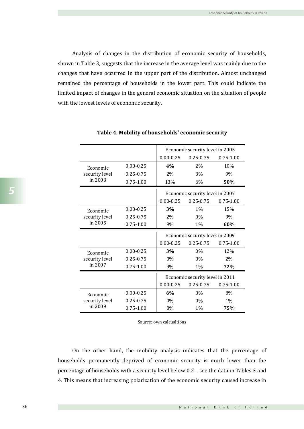Analysis of changes in the distribution of economic security of households, shown in Table 3, suggests that the increase in the average level was mainly due to the changes that have occurred in the upper part of the distribution. Almost unchanged remained the percentage of households in the lower part. This could indicate the limited impact of changes in the general economic situation on the situation of people with the lowest levels of economic security.

|                           |                                  |                                 | Economic security level in 2005 |               |
|---------------------------|----------------------------------|---------------------------------|---------------------------------|---------------|
|                           |                                  | $0.00 - 0.25$                   | $0.25 - 0.75$                   | $0.75 - 1.00$ |
| Economic                  | $0.00 - 0.25$                    | 4%                              | 2%                              | 10%           |
| security level            | $0.25 - 0.75$                    | 2%                              | 3%                              | 9%            |
| in 2003                   | $0.75 - 1.00$                    | 13%                             | 6%                              | 50%           |
|                           |                                  |                                 | Economic security level in 2007 |               |
|                           |                                  | $0.00 - 0.25$                   | $0.25 - 0.75$                   | $0.75 - 1.00$ |
| Economic                  | $0.00 - 0.25$                    | 3%                              | 1%                              | 15%           |
| security level            | $0.25 - 0.75$                    | 2%                              | 0%                              | 9%            |
| in 2005                   | $0.75 - 1.00$<br>9%<br>1%<br>60% |                                 |                                 |               |
|                           |                                  | Economic security level in 2009 |                                 |               |
|                           |                                  |                                 |                                 |               |
|                           |                                  | $0.00 - 0.25$                   | $0.25 - 0.75$                   | $0.75 - 1.00$ |
| Economic                  | $0.00 - 0.25$                    | 3%                              | 0%                              | 12%           |
| security level            | 0.25-0.75                        | 0%                              | 0%                              | 2%            |
| in 2007                   | $0.75 - 1.00$                    | 9%                              | $1\%$                           | 72%           |
|                           |                                  |                                 | Economic security level in 2011 |               |
|                           |                                  | $0.00 - 0.25$                   | $0.25 - 0.75$                   | $0.75 - 1.00$ |
| Economic                  | $0.00 - 0.25$                    | 6%                              | 0%                              | 8%            |
| security level<br>in 2009 | $0.25 - 0.75$                    | 0%                              | 0%                              | 1%            |

### **Table 4. Mobility of households' economic security**

Source: own calcualtions

On the other hand, the mobility analysis indicates that the percentage of households permanently deprived of economic security is much lower than the percentage of households with a security level below 0.2 – see the data in Tables 3 and 4. This means that increasing polarization of the economic security caused increase in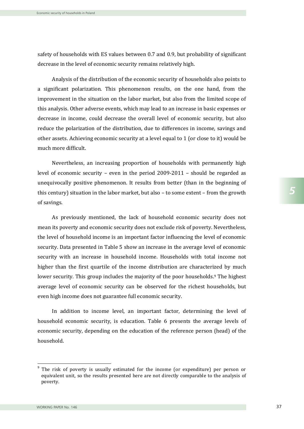safety of households with ES values between 0.7 and 0.9, but probability of significant decrease in the level of economic security remains relatively high.

Analysis of the distribution of the economic security of households also points to a significant polarization. This phenomenon results, on the one hand, from the improvement in the situation on the labor market, but also from the limited scope of this analysis. Other adverse events, which may lead to an increase in basic expenses or decrease in income, could decrease the overall level of economic security, but also reduce the polarization of the distribution, due to differences in income, savings and other assets. Achieving economic security at a level equal to 1 (or close to it) would be much more difficult.

Nevertheless, an increasing proportion of households with permanently high level of economic security – even in the period 2009-2011 – should be regarded as unequivocally positive phenomenon. It results from better (than in the beginning of this century) situation in the labor market, but also – to some extent – from the growth of savings.

As previously mentioned, the lack of household economic security does not mean its poverty and economic security does not exclude risk of poverty. Nevertheless, the level of household income is an important factor influencing the level of economic security. Data presented in Table 5 show an increase in the average level of economic security with an increase in household income. Households with total income not higher than the first quartile of the income distribution are characterized by much lower security. This group includes the majority of the poor households. <sup>9</sup> The highest average level of economic security can be observed for the richest households, but even high income does not guarantee full economic security.

In addition to income level, an important factor, determining the level of household economic security, is education. Table 6 presents the average levels of economic security, depending on the education of the reference person (head) of the household.

<sup>&</sup>lt;sup>9</sup> The risk of poverty is usually estimated for the income (or expenditure) per person or equivalent unit, so the results presented here are not directly comparable to the analysis of poverty.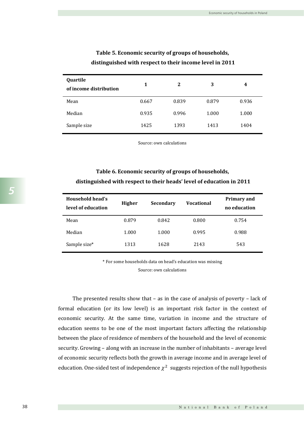| Quartile<br>of income distribution | 1     | 2     | 3     | 4     |
|------------------------------------|-------|-------|-------|-------|
| Mean                               | 0.667 | 0.839 | 0.879 | 0.936 |
| Median                             | 0.935 | 0.996 | 1.000 | 1.000 |
| Sample size                        | 1425  | 1393  | 1413  | 1404  |

## **Table 5. Economic security of groups of households, distinguished with respect to their income level in 2011**

Source: own calculations

# **Table 6. Economic security of groups of households, distinguished with respect to their heads' level of education in 2011**

| Household head's<br>level of education | <b>Higher</b> | <b>Secondary</b> | <b>Vocational</b> | <b>Primary and</b><br>no education |
|----------------------------------------|---------------|------------------|-------------------|------------------------------------|
| Mean                                   | 0.879         | 0.842            | 0.800             | 0.754                              |
| Median                                 | 1.000         | 1.000            | 0.995             | 0.988                              |
| Sample size*                           | 1313          | 1628             | 2143              | 543                                |

\* For some households data on head's education was missing

Source: own calculations

The presented results show that – as in the case of analysis of poverty – lack of formal education (or its low level) is an important risk factor in the context of economic security. At the same time, variation in income and the structure of education seems to be one of the most important factors affecting the relationship between the place of residence of members of the household and the level of economic security. Growing – along with an increase in the number of inhabitants – average level of economic security reflects both the growth in average income and in average level of education. One-sided test of independence  $\chi^2$  suggests rejection of the null hypothesis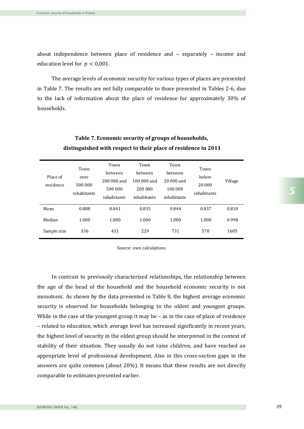about independence between place of residence and – separately – income and education level for  $p < 0.001$ .

The average levels of economic security for various types of places are presented in Table 7. The results are not fully comparable to those presented in Tables 2-6, due to the lack of information about the place of residence for approximately 30% of households.

| Place of<br>residence | Town<br>over<br>500 000<br>inhabitants | Town<br><b>between</b><br>200 000 and<br>500 000<br>inhabitants | Town<br>hetween<br>$100000$ and<br>200 000<br>inhabitants | Town<br><b>between</b><br>20 000 and<br>100 000<br>inhabitants | Town<br>below<br>20 000<br>inhabitants | Village |
|-----------------------|----------------------------------------|-----------------------------------------------------------------|-----------------------------------------------------------|----------------------------------------------------------------|----------------------------------------|---------|
| Mean                  | 0.888                                  | 0.841                                                           | 0.835                                                     | 0.844                                                          | 0.837                                  | 0.810   |
| Median                | 1.000                                  | 1.000                                                           | 1.000                                                     | 1.000                                                          | 1.000                                  | 0.998   |
| Sample size           | 336                                    | 431                                                             | 229                                                       | 731                                                            | 570                                    | 1605    |

# **Table 7. Economic security of groups of households, distinguished with respect to their place of residence in 2011**

Source: own calculations

In contrast to previously characterized relationships, the relationship between the age of the head of the household and the household economic security is not monotonic. As shown by the data presented in Table 8, the highest average economic security is observed for households belonging to the oldest and youngest groups. While in the case of the youngest group it may be – as in the case of place of residence – related to education, which average level has increased significantly in recent years, the highest level of security in the oldest group should be interpreted in the context of stability of their situation. They usually do not raise children, and have reached an appropriate level of professional development. Also in this cross-section gaps in the answers are quite common (about 20%). It means that these results are not directly comparable to estimates presented earlier.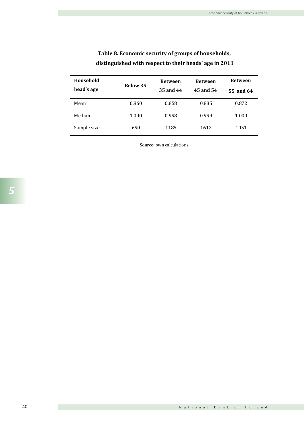| Household<br>head's age | <b>Below 35</b> | <b>Between</b><br>35 and 44 | <b>Between</b><br>45 and 54 | <b>Between</b><br>55 and 64 |
|-------------------------|-----------------|-----------------------------|-----------------------------|-----------------------------|
| Mean                    | 0.860           | 0.858                       | 0.835                       | 0.872                       |
| Median                  | 1.000           | 0.998                       | 0.999                       | 1.000                       |
| Sample size             | 690             | 1185                        | 1612                        | 1051                        |

# **Table 8. Economic security of groups of households, distinguished with respect to their heads' age in 2011**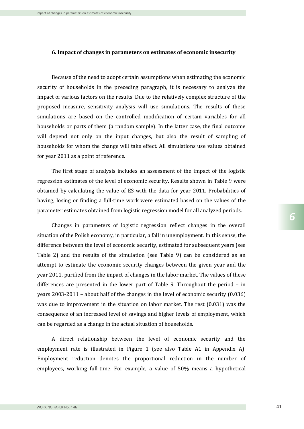#### **6. Impact of changes in parameters on estimates of economic insecurity**

Because of the need to adopt certain assumptions when estimating the economic security of households in the preceding paragraph, it is necessary to analyze the impact of various factors on the results. Due to the relatively complex structure of the proposed measure, sensitivity analysis will use simulations. The results of these simulations are based on the controlled modification of certain variables for all households or parts of them (a random sample). In the latter case, the final outcome will depend not only on the input changes, but also the result of sampling of households for whom the change will take effect. All simulations use values obtained for year 2011 as a point of reference.

The first stage of analysis includes an assessment of the impact of the logistic regression estimates of the level of economic security. Results shown in Table 9 were obtained by calculating the value of ES with the data for year 2011. Probabilities of having, losing or finding a full-time work were estimated based on the values of the parameter estimates obtained from logistic regression model for all analyzed periods.

Changes in parameters of logistic regression reflect changes in the overall situation of the Polish economy, in particular, a fall in unemployment. In this sense, the difference between the level of economic security, estimated for subsequent years (see Table 2) and the results of the simulation (see Table 9) can be considered as an attempt to estimate the economic security changes between the given year and the year 2011, purified from the impact of changes in the labor market. The values of these differences are presented in the lower part of Table 9. Throughout the period – in years 2003-2011 – about half of the changes in the level of economic security (0.036) was due to improvement in the situation on labor market. The rest (0.031) was the consequence of an increased level of savings and higher levels of employment, which can be regarded as a change in the actual situation of households.

A direct relationship between the level of economic security and the employment rate is illustrated in Figure 1 (see also Table A1 in Appendix A). Employment reduction denotes the proportional reduction in the number of employees, working full-time. For example, a value of 50% means a hypothetical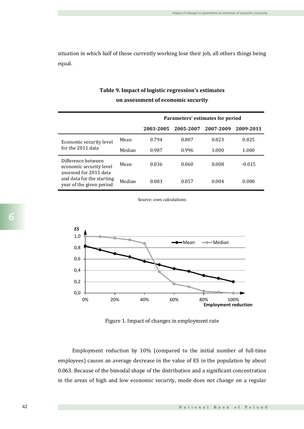situation in which half of those currently working lose their job, all others things being equal.

|                                                                                 |        |           | Parameters' estimates for period |           |           |
|---------------------------------------------------------------------------------|--------|-----------|----------------------------------|-----------|-----------|
|                                                                                 |        | 2003-2005 | 2005-2007                        | 2007-2009 | 2009-2011 |
| Economic security level                                                         | Mean   | 0.794     | 0.807                            | 0.823     | 0.825     |
| for the 2011 data                                                               | Median | 0.987     | 0.996                            | 1.000     | 1.000     |
| Difference between<br>economic security level                                   | Mean   | 0.036     | 0.060                            | 0.008     | $-0.015$  |
| assessed for 2011 data<br>and data for the starting<br>year of the given period | Median | 0.083     | 0.057                            | 0.004     | 0.000     |

## **Table 9. Impact of logistic regression's estimates on assessment of economic security**

Source: own calculations



Figure 1. Impact of changes in employment rate

Employment reduction by 10% (compared to the initial number of full-time employees) causes an average decrease in the value of ES in the population by about 0.063. Because of the bimodal shape of the distribution and a significant concentration in the areas of high and low economic security, mode does not change on a regular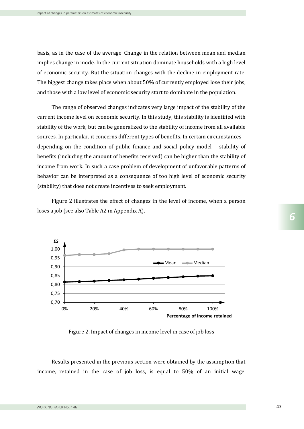basis, as in the case of the average. Change in the relation between mean and median implies change in mode. In the current situation dominate households with a high level of economic security. But the situation changes with the decline in employment rate. The biggest change takes place when about 50% of currently employed lose their jobs, and those with a low level of economic security start to dominate in the population.

The range of observed changes indicates very large impact of the stability of the current income level on economic security. In this study, this stability is identified with stability of the work, but can be generalized to the stability of income from all available sources. In particular, it concerns different types of benefits. In certain circumstances – depending on the condition of public finance and social policy model – stability of benefits (including the amount of benefits received) can be higher than the stability of income from work. In such a case problem of development of unfavorable patterns of behavior can be interpreted as a consequence of too high level of economic security (stability) that does not create incentives to seek employment.

Figure 2 illustrates the effect of changes in the level of income, when a person loses a job (see also Table A2 in Appendix A).



Figure 2. Impact of changes in income level in case of job loss

Results presented in the previous section were obtained by the assumption that income, retained in the case of job loss, is equal to 50% of an initial wage.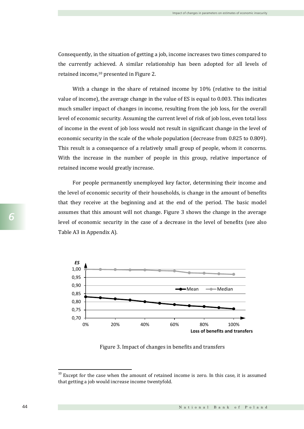Consequently, in the situation of getting a job, income increases two times compared to the currently achieved. A similar relationship has been adopted for all levels of retained income, <sup>10</sup> presented in Figure 2.

With a change in the share of retained income by 10% (relative to the initial value of income), the average change in the value of ES is equal to 0.003. This indicates much smaller impact of changes in income, resulting from the job loss, for the overall level of economic security. Assuming the current level of risk of job loss, even total loss of income in the event of job loss would not result in significant change in the level of economic security in the scale of the whole population (decrease from 0.825 to 0.809). This result is a consequence of a relatively small group of people, whom it concerns. With the increase in the number of people in this group, relative importance of retained income would greatly increase.

For people permanently unemployed key factor, determining their income and the level of economic security of their households, is change in the amount of benefits that they receive at the beginning and at the end of the period. The basic model assumes that this amount will not change. Figure 3 shows the change in the average level of economic security in the case of a decrease in the level of benefits (see also Table A3 in Appendix A).



Figure 3. Impact of changes in benefits and transfers

 $10$  Except for the case when the amount of retained income is zero. In this case, it is assumed that getting a job would increase income twentyfold.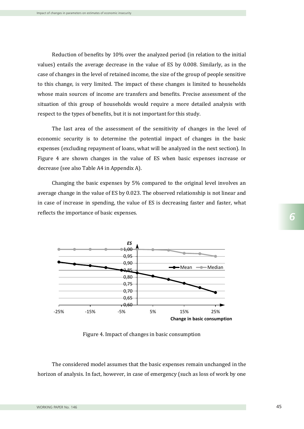Reduction of benefits by 10% over the analyzed period (in relation to the initial values) entails the average decrease in the value of ES by 0.008. Similarly, as in the case of changes in the level of retained income, the size of the group of people sensitive to this change, is very limited. The impact of these changes is limited to households whose main sources of income are transfers and benefits. Precise assessment of the situation of this group of households would require a more detailed analysis with respect to the types of benefits, but it is not important for this study.

The last area of the assessment of the sensitivity of changes in the level of economic security is to determine the potential impact of changes in the basic expenses (excluding repayment of loans, what will be analyzed in the next section). In Figure 4 are shown changes in the value of ES when basic expenses increase or decrease (see also Table A4 in Appendix A).

Changing the basic expenses by 5% compared to the original level involves an average change in the value of ES by 0.023. The observed relationship is not linear and in case of increase in spending, the value of ES is decreasing faster and faster, what reflects the importance of basic expenses.



Figure 4. Impact of changes in basic consumption

The considered model assumes that the basic expenses remain unchanged in the horizon of analysis. In fact, however, in case of emergency (such as loss of work by one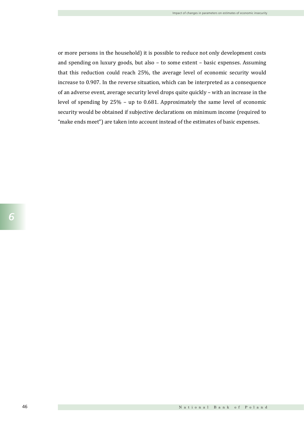or more persons in the household) it is possible to reduce not only development costs and spending on luxury goods, but also – to some extent – basic expenses. Assuming that this reduction could reach 25%, the average level of economic security would increase to 0.907. In the reverse situation, which can be interpreted as a consequence of an adverse event, average security level drops quite quickly – with an increase in the level of spending by 25% – up to 0.681. Approximately the same level of economic security would be obtained if subjective declarations on minimum income (required to "make ends meet") are taken into account instead of the estimates of basic expenses.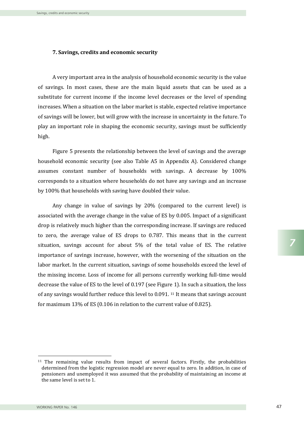### **7. Savings, credits and economic security**

A very important area in the analysis of household economic security is the value of savings. In most cases, these are the main liquid assets that can be used as a substitute for current income if the income level decreases or the level of spending increases. When a situation on the labor market is stable, expected relative importance of savings will be lower, but will grow with the increase in uncertainty in the future. To play an important role in shaping the economic security, savings must be sufficiently high.

Figure 5 presents the relationship between the level of savings and the average household economic security (see also Table A5 in Appendix A). Considered change assumes constant number of households with savings. A decrease by 100% corresponds to a situation where households do not have any savings and an increase by 100% that households with saving have doubled their value.

Any change in value of savings by 20% (compared to the current level) is associated with the average change in the value of ES by 0.005. Impact of a significant drop is relatively much higher than the corresponding increase. If savings are reduced to zero, the average value of ES drops to 0.787. This means that in the current situation, savings account for about 5% of the total value of ES. The relative importance of savings increase, however, with the worsening of the situation on the labor market. In the current situation, savings of some households exceed the level of the missing income. Loss of income for all persons currently working full-time would decrease the value of ES to the level of 0.197 (see Figure 1). In such a situation, the loss of any savings would further reduce this level to 0.091. <sup>11</sup> It means that savings account for maximum 13% of ES (0.106 in relation to the current value of 0.825).

 $\overline{a}$ 

<sup>11</sup> The remaining value results from impact of several factors. Firstly, the probabilities determined from the logistic regression model are never equal to zero. In addition, in case of pensioners and unemployed it was assumed that the probability of maintaining an income at the same level is set to 1.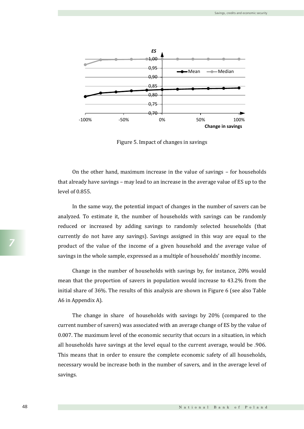

Figure 5. Impact of changes in savings

On the other hand, maximum increase in the value of savings – for households that already have savings – may lead to an increase in the average value of ES up to the level of 0.855.

In the same way, the potential impact of changes in the number of savers can be analyzed. To estimate it, the number of households with savings can be randomly reduced or increased by adding savings to randomly selected households (that currently do not have any savings). Savings assigned in this way are equal to the product of the value of the income of a given household and the average value of savings in the whole sample, expressed as a multiple of households' monthly income.

Change in the number of households with savings by, for instance, 20% would mean that the proportion of savers in population would increase to 43.2% from the initial share of 36%. The results of this analysis are shown in Figure 6 (see also Table A6 in Appendix A).

The change in share of households with savings by 20% (compared to the current number of savers) was associated with an average change of ES by the value of 0.007. The maximum level of the economic security that occurs in a situation, in which all households have savings at the level equal to the current average, would be .906. This means that in order to ensure the complete economic safety of all households, necessary would be increase both in the number of savers, and in the average level of savings.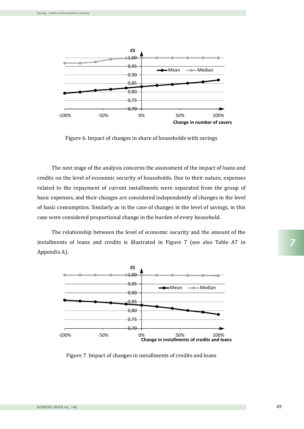

Figure 6. Impact of changes in share of households with savings

The next stage of the analysis concerns the assessment of the impact of loans and credits on the level of economic security of households. Due to their nature, expenses related to the repayment of current installments were separated from the group of basic expenses, and their changes are considered independently of changes in the level of basic consumption. Similarly as in the case of changes in the level of savings, in this case were considered proportional change in the burden of every household.

The relationship between the level of economic security and the amount of the installments of loans and credits is illustrated in Figure 7 (see also Table A7 in Appendix A).



Figure 7. Impact of changes in installments of credits and loans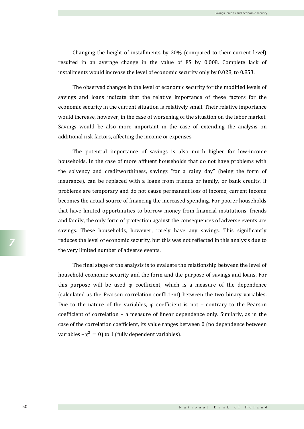Changing the height of installments by 20% (compared to their current level) resulted in an average change in the value of ES by 0.008. Complete lack of installments would increase the level of economic security only by 0.028, to 0.853.

The observed changes in the level of economic security for the modified levels of savings and loans indicate that the relative importance of these factors for the economic security in the current situation is relatively small. Their relative importance would increase, however, in the case of worsening of the situation on the labor market. Savings would be also more important in the case of extending the analysis on additional risk factors, affecting the income or expenses.

The potential importance of savings is also much higher for low-income households. In the case of more affluent households that do not have problems with the solvency and creditworthiness, savings "for a rainy day" (being the form of insurance), can be replaced with a loans from friends or family, or bank credits. If problems are temporary and do not cause permanent loss of income, current income becomes the actual source of financing the increased spending. For poorer households that have limited opportunities to borrow money from financial institutions, friends and family, the only form of protection against the consequences of adverse events are savings. These households, however, rarely have any savings. This significantly reduces the level of economic security, but this was not reflected in this analysis due to the very limited number of adverse events.

The final stage of the analysis is to evaluate the relationship between the level of household economic security and the form and the purpose of savings and loans. For this purpose will be used  $\varphi$  coefficient, which is a measure of the dependence (calculated as the Pearson correlation coefficient) between the two binary variables. Due to the nature of the variables,  $\varphi$  coefficient is not – contrary to the Pearson coefficient of correlation – a measure of linear dependence only. Similarly, as in the case of the correlation coefficient, its value ranges between 0 (no dependence between variables –  $\chi^2 = 0$ ) to 1 (fully dependent variables).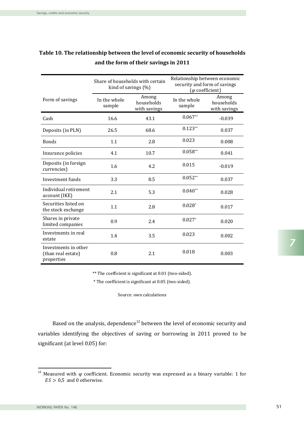|                                                          | Share of households with certain<br>kind of savings $(\%)$ |                                     | Relationship between economic<br>security and form of savings<br>( $\varphi$ coefficient) |                                     |  |
|----------------------------------------------------------|------------------------------------------------------------|-------------------------------------|-------------------------------------------------------------------------------------------|-------------------------------------|--|
| Form of savings                                          | In the whole<br>sample                                     | Among<br>households<br>with savings | In the whole<br>sample                                                                    | Among<br>households<br>with savings |  |
| Cash                                                     | 16.6                                                       | 43.1                                | $0.067**$                                                                                 | $-0.039$                            |  |
| Deposits (in PLN)                                        | 26.5                                                       | 68.6                                | $0.123**$                                                                                 | 0.037                               |  |
| <b>Bonds</b>                                             | 1.1                                                        | 2.8                                 | 0.023                                                                                     | 0.008                               |  |
| Insurance policies                                       | 4.1                                                        | 10.7                                | $0.058**$                                                                                 | 0.041                               |  |
| Deposits (in foreign<br>currencies)                      | 1.6                                                        | 4.2                                 | 0.015                                                                                     | $-0.019$                            |  |
| Investment funds                                         | 3.3                                                        | 8.5                                 | $0.052**$                                                                                 | 0.037                               |  |
| Individual retirement<br>account (IKE)                   | 2.1                                                        | 5.3                                 | $0.040**$                                                                                 | 0.028                               |  |
| Securities listed on<br>the stock exchange               | 1.1                                                        | 2.8                                 | $0.028*$                                                                                  | 0.017                               |  |
| Shares in private<br>limited companies                   | 0.9                                                        | 2.4                                 | $0.027*$                                                                                  | 0.020                               |  |
| Investments in real<br>estate                            | 1.4                                                        | 3.5                                 | 0.023                                                                                     | 0.002                               |  |
| Investments in other<br>(than real estate)<br>properties | 0.8                                                        | 2.1                                 | 0.018                                                                                     | 0.003                               |  |

# **Table 10. The relationship between the level of economic security of households and the form of their savings in 2011**

\*\* The coefficient is significant at 0.01 (two-sided).

\* The coefficient is significant at 0.05 (two-sided).

Source: own calculations

Based on the analysis, dependence<sup>12</sup> between the level of economic security and variables identifying the objectives of saving or borrowing in 2011 proved to be significant (at level 0.05) for:

<sup>&</sup>lt;sup>12</sup> Measured with  $\varphi$  coefficient. Economic security was expressed as a binary variable: 1 for  $ES > 0.5$  and 0 otherwise.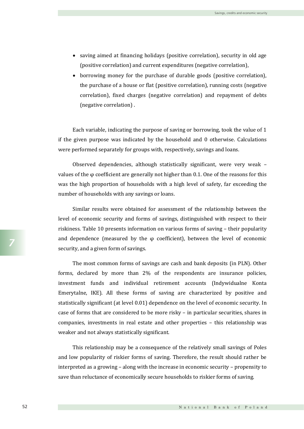- saving aimed at financing holidays (positive correlation), security in old age (positive correlation) and current expenditures (negative correlation),
- borrowing money for the purchase of durable goods (positive correlation), the purchase of a house or flat (positive correlation), running costs (negative correlation), fixed charges (negative correlation) and repayment of debts (negative correlation) .

Each variable, indicating the purpose of saving or borrowing, took the value of 1 if the given purpose was indicated by the household and 0 otherwise. Calculations were performed separately for groups with, respectively, savings and loans.

Observed dependencies, although statistically significant, were very weak – values of the  $\varphi$  coefficient are generally not higher than 0.1. One of the reasons for this was the high proportion of households with a high level of safety, far exceeding the number of households with any savings or loans.

Similar results were obtained for assessment of the relationship between the level of economic security and forms of savings, distinguished with respect to their riskiness. Table 10 presents information on various forms of saving – their popularity and dependence (measured by the  $\varphi$  coefficient), between the level of economic security, and a given form of savings.

The most common forms of savings are cash and bank deposits (in PLN). Other forms, declared by more than 2% of the respondents are insurance policies, investment funds and individual retirement accounts (Indywidualne Konta Emerytalne, IKE). All these forms of saving are characterized by positive and statistically significant (at level 0.01) dependence on the level of economic security. In case of forms that are considered to be more risky – in particular securities, shares in companies, investments in real estate and other properties – this relationship was weaker and not always statistically significant.

This relationship may be a consequence of the relatively small savings of Poles and low popularity of riskier forms of saving. Therefore, the result should rather be interpreted as a growing – along with the increase in economic security – propensity to save than reluctance of economically secure households to riskier forms of saving.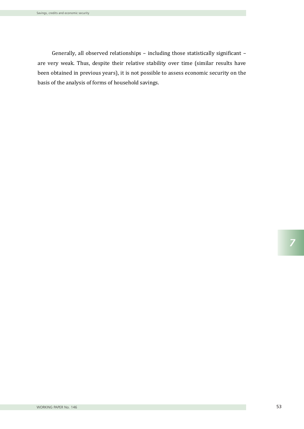Generally, all observed relationships – including those statistically significant – are very weak. Thus, despite their relative stability over time (similar results have been obtained in previous years), it is not possible to assess economic security on the basis of the analysis of forms of household savings.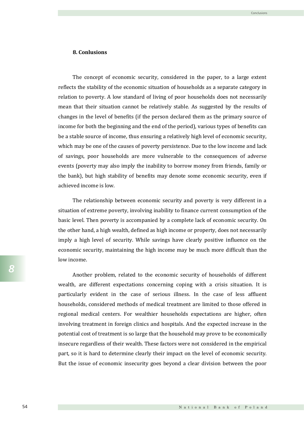### **8. Conlusions**

The concept of economic security, considered in the paper, to a large extent reflects the stability of the economic situation of households as a separate category in relation to poverty. A low standard of living of poor households does not necessarily mean that their situation cannot be relatively stable. As suggested by the results of changes in the level of benefits (if the person declared them as the primary source of income for both the beginning and the end of the period), various types of benefits can be a stable source of income, thus ensuring a relatively high level of economic security, which may be one of the causes of poverty persistence. Due to the low income and lack of savings, poor households are more vulnerable to the consequences of adverse events (poverty may also imply the inability to borrow money from friends, family or the bank), but high stability of benefits may denote some economic security, even if achieved income is low.

The relationship between economic security and poverty is very different in a situation of extreme poverty, involving inability to finance current consumption of the basic level. Then poverty is accompanied by a complete lack of economic security. On the other hand, a high wealth, defined as high income or property, does not necessarily imply a high level of security. While savings have clearly positive influence on the economic security, maintaining the high income may be much more difficult than the low income.

Another problem, related to the economic security of households of different wealth, are different expectations concerning coping with a crisis situation. It is particularly evident in the case of serious illness. In the case of less affluent households, considered methods of medical treatment are limited to those offered in regional medical centers. For wealthier households expectations are higher, often involving treatment in foreign clinics and hospitals. And the expected increase in the potential cost of treatment is so large that the household may prove to be economically insecure regardless of their wealth. These factors were not considered in the empirical part, so it is hard to determine clearly their impact on the level of economic security. But the issue of economic insecurity goes beyond a clear division between the poor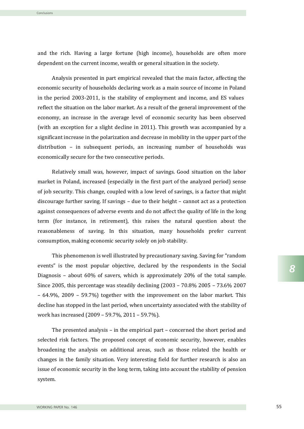and the rich. Having a large fortune (high income), households are often more dependent on the current income, wealth or general situation in the society.

Analysis presented in part empirical revealed that the main factor, affecting the economic security of households declaring work as a main source of income in Poland in the period 2003-2011, is the stability of employment and income, and ES values reflect the situation on the labor market. As a result of the general improvement of the economy, an increase in the average level of economic security has been observed (with an exception for a slight decline in 2011). This growth was accompanied by a significant increase in the polarization and decrease in mobility in the upper part of the distribution – in subsequent periods, an increasing number of households was economically secure for the two consecutive periods.

Relatively small was, however, impact of savings. Good situation on the labor market in Poland, increased (especially in the first part of the analyzed period) sense of job security. This change, coupled with a low level of savings, is a factor that might discourage further saving. If savings – due to their height – cannot act as a protection against consequences of adverse events and do not affect the quality of life in the long term (for instance, in retirement), this raises the natural question about the reasonableness of saving. In this situation, many households prefer current consumption, making economic security solely on job stability.

This phenomenon is well illustrated by precautionary saving. Saving for "random events" is the most popular objective, declared by the respondents in the Social Diagnosis – about 60% of savers, which is approximately 20% of the total sample. Since 2005, this percentage was steadily declining (2003 – 70.8% 2005 – 73.6% 2007 – 64.9%, 2009 – 59.7%) together with the improvement on the labor market. This decline has stopped in the last period, when uncertainty associated with the stability of work has increased (2009 – 59.7%, 2011 – 59.7%).

The presented analysis – in the empirical part – concerned the short period and selected risk factors. The proposed concept of economic security, however, enables broadening the analysis on additional areas, such as those related the health or changes in the family situation. Very interesting field for further research is also an issue of economic security in the long term, taking into account the stability of pension system.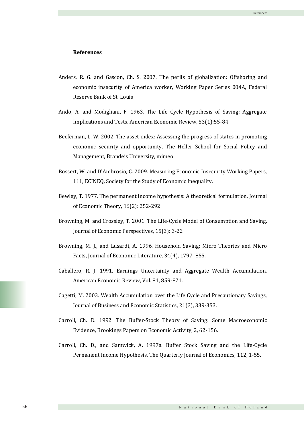#### **References**

- Anders, R. G. and Gascon, Ch. S. 2007. The perils of globalization: Offshoring and economic insecurity of America worker, Working Paper Series 004A, Federal Reserve Bank of St. Louis
- Ando, A. and Modigliani, F. 1963. The Life Cycle Hypothesis of Saving: Aggregate Implications and Tests. American Economic Review, 53(1):55-84
- Beeferman, L. W. 2002. The asset index: Assessing the progress of states in promoting economic security and opportunity, The Heller School for Social Policy and Management, Brandeis University, mimeo
- Bossert, W. and D'Ambrosio, C. 2009. Measuring Economic Insecurity Working Papers, 111, ECINEQ, Society for the Study of Economic Inequality.
- Bewley, T. 1977. The permanent income hypothesis: A theoretical formulation. Journal of Economic Theory, 16(2): 252-292
- Browning, M. and Crossley, T. 2001. The Life-Cycle Model of Consumption and Saving. Journal of Economic Perspectives, 15(3): 3-22
- Browning, M. J., and Lusardi, A. 1996. Household Saving: Micro Theories and Micro Facts, Journal of Economic Literature, 34(4), 1797–855.
- Caballero, R. J. 1991. Earnings Uncertainty and Aggregate Wealth Accumulation, American Economic Review, Vol. 81, 859-871.
- Cagetti, M. 2003. Wealth Accumulation over the Life Cycle and Precautionary Savings, Journal of Business and Economic Statistics, 21(3), 339-353.
- Carroll, Ch. D. 1992. The Buffer-Stock Theory of Saving: Some Macroeconomic Evidence, Brookings Papers on Economic Activity, 2, 62-156.
- Carroll, Ch. D., and Samwick, A. 1997a. Buffer Stock Saving and the Life-Cycle Permanent Income Hypothesis, The Quarterly Journal of Economics, 112, 1-55.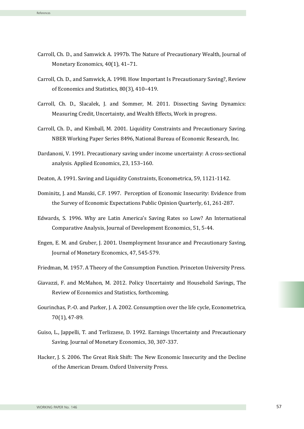- Carroll, Ch. D., and Samwick A. 1997b. The Nature of Precautionary Wealth, Journal of Monetary Economics, 40(1), 41–71.
- Carroll, Ch. D., and Samwick, A. 1998. How Important Is Precautionary Saving?, Review of Economics and Statistics, 80(3), 410–419.
- Carroll, Ch. D., Slacalek, J. and Sommer, M. 2011. Dissecting Saving Dynamics: Measuring Credit, Uncertainty, and Wealth Effects, Work in progress.
- Carroll, Ch. D., and Kimball, M. 2001. Liquidity Constraints and Precautionary Saving. NBER Working Paper Series 8496, National Bureau of Economic Research, Inc.
- Dardanoni, V. 1991. Precautionary saving under income uncertainty: A cross-sectional analysis. Applied Economics, 23, 153–160.
- Deaton, A. 1991. Saving and Liquidity Constraints, Econometrica, 59, 1121-1142.
- Dominitz, J. and Manski, C.F. 1997. Perception of Economic Insecurity: Evidence from the Survey of Economic Expectations Public Opinion Quarterly, 61, 261-287.
- Edwards, S. 1996. Why are Latin America's Saving Rates so Low? An International Comparative Analysis, Journal of Development Economics, 51, 5-44.
- Engen, E. M. and Gruber, J. 2001. Unemployment Insurance and Precautionary Saving, Journal of Monetary Economics, 47, 545-579.
- Friedman, M. 1957. A Theory of the Consumption Function. Princeton University Press.
- Giavazzi, F. and McMahon, M. 2012. Policy Uncertainty and Household Savings, The Review of Economics and Statistics, forthcoming.
- Gourinchas, P.-O. and Parker, J. A. 2002. Consumption over the life cycle, Econometrica, 70(1), 47-89.
- Guiso, L., Jappelli, T. and Terlizzese, D. 1992. Earnings Uncertainty and Precautionary Saving. Journal of Monetary Economics, 30, 307-337.
- Hacker, J. S. 2006. The Great Risk Shift: The New Economic Insecurity and the Decline of the American Dream. Oxford University Press.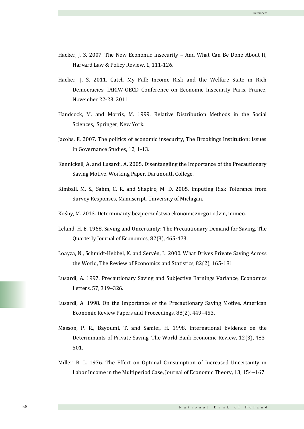- Hacker, J. S. 2007. The New Economic Insecurity And What Can Be Done About It, Harvard Law & Policy Review, 1, 111-126.
- Hacker, J. S. 2011. Catch My Fall: Income Risk and the Welfare State in Rich Democracies, IARIW-OECD Conference on Economic Insecurity Paris, France, November 22-23, 2011.
- Handcock, M. and Morris, M. 1999. Relative Distribution Methods in the Social Sciences, Springer, New York.
- Jacobs, E. 2007. The politics of economic insecurity, The Brookings Institution: Issues in Governance Studies, 12, 1-13.
- Kennickell, A. and Lusardi, A. 2005. Disentangling the Importance of the Precautionary Saving Motive. Working Paper, Dartmouth College.
- Kimball, M. S., Sahm, C. R. and Shapiro, M. D. 2005. Imputing Risk Tolerance from Survey Responses, Manuscript, University of Michigan.
- Kośny, M. 2013. Determinanty bezpieczeństwa ekonomicznego rodzin, mimeo.
- Leland, H. E. 1968. Saving and Uncertainty: The Precautionary Demand for Saving, The Quarterly Journal of Economics, 82(3), 465-473.
- Loayza, N., Schmidt-Hebbel, K. and Servén, L. 2000. What Drives Private Saving Across the World, The Review of Economics and Statistics, 82(2), 165-181.
- Lusardi, A. 1997. Precautionary Saving and Subjective Earnings Variance, Economics Letters, 57, 319–326.
- Lusardi, A. 1998. On the Importance of the Precautionary Saving Motive, American Economic Review Papers and Proceedings, 88(2), 449–453.
- Masson, P. R., Bayoumi, T. and Samiei, H. 1998. International Evidence on the Determinants of Private Saving, The World Bank Economic Review, 12(3), 483- 501.
- Miller, B. L. 1976. The Effect on Optimal Consumption of Increased Uncertainty in Labor Income in the Multiperiod Case, Journal of Economic Theory, 13, 154–167.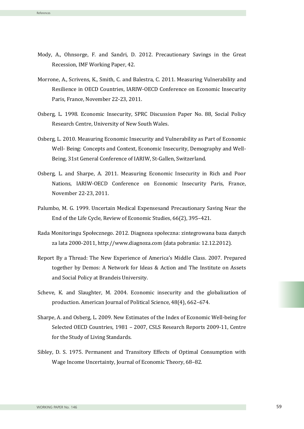- Mody, A., Ohnsorge, F. and Sandri, D. 2012. Precautionary Savings in the Great Recession, IMF Working Paper, 42.
- Morrone, A., Scrivens, K., Smith, C. and Balestra, C. 2011. Measuring Vulnerability and Resilience in OECD Countries, IARIW-OECD Conference on Economic Insecurity Paris, France, November 22-23, 2011.
- Osberg, L. 1998. Economic Insecurity, SPRC Discussion Paper No. 88, Social Policy Research Centre, University of New South Wales.
- Osberg, L. 2010. Measuring Economic Insecurity and Vulnerability as Part of Economic Well- Being: Concepts and Context, Economic Insecurity, Demography and Well-Being, 31st General Conference of IARIW, St-Gallen, Switzerland.
- Osberg, L. and Sharpe, A. 2011. Measuring Economic Insecurity in Rich and Poor Nations, IARIW-OECD Conference on Economic Insecurity Paris, France, November 22-23, 2011.
- Palumbo, M. G. 1999. Uncertain Medical Expensesand Precautionary Saving Near the End of the Life Cycle, Review of Economic Studies, 66(2), 395–421.
- Rada Monitoringu Społecznego. 2012. Diagnoza społeczna: zintegrowana baza danych za lata 2000-2011, http://www.diagnoza.com (data pobrania: 12.12.2012).
- Report By a Thread: The New Experience of America's Middle Class. 2007. Prepared together by Demos: A Network for Ideas & Action and The Institute on Assets and Social Policy at Brandeis University.
- Scheve, K. and Slaughter, M. 2004. Economic insecurity and the globalization of production. American Journal of Political Science, 48(4), 662–674.
- Sharpe, A. and Osberg, L. 2009. New Estimates of the Index of Economic Well-being for Selected OECD Countries, 1981 – 2007, CSLS Research Reports 2009-11, Centre for the Study of Living Standards.
- Sibley, D. S. 1975. Permanent and Transitory Effects of Optimal Consumption with Wage Income Uncertainty, Journal of Economic Theory, 68–82.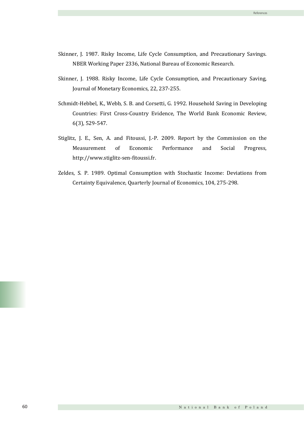- Skinner, J. 1987. Risky Income, Life Cycle Consumption, and Precautionary Savings. NBER Working Paper 2336, National Bureau of Economic Research.
- Skinner, J. 1988. Risky Income, Life Cycle Consumption, and Precautionary Saving, Journal of Monetary Economics, 22, 237-255.
- Schmidt-Hebbel, K., Webb, S. B. and Corsetti, G. 1992. Household Saving in Developing Countries: First Cross-Country Evidence, The World Bank Economic Review, 6(3), 529-547.
- Stiglitz, J. E., Sen, A. and Fitoussi, J.-P. 2009. Report by the Commission on the Measurement of Economic Performance and Social Progress, http://www.stiglitz-sen-fitoussi.fr.
- Zeldes, S. P. 1989. Optimal Consumption with Stochastic Income: Deviations from Certainty Equivalence, Quarterly Journal of Economics, 104, 275-298.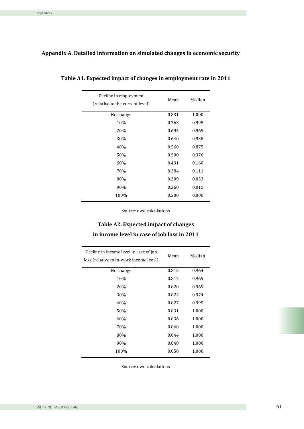### **Appendix A. Detailed information on simulated changes in economic security**

| Decline in employment<br>(relative to the current level) | Mean  | Median |
|----------------------------------------------------------|-------|--------|
| No change                                                | 0.831 | 1.000  |
| 10%                                                      | 0.763 | 0.995  |
| 20%                                                      | 0.695 | 0.969  |
| 30%                                                      | 0.640 | 0.938  |
| 40%                                                      | 0.560 | 0.875  |
| 50%                                                      | 0.500 | 0.376  |
| 60%                                                      | 0.431 | 0.160  |
| 70%                                                      | 0.384 | 0.111  |
| 80%                                                      | 0.309 | 0.033  |
| 90%                                                      | 0.260 | 0.015  |
| 100%                                                     | 0.200 | 0.000  |

**Table A1. Expected impact of changes in employment rate in 2011** 

Source: own calculations

# **Table A2. Expected impact of changes in income level in case of job loss in 2011**

| Decline in income level in case of job<br>loss (relative to in-work income level) | Mean  | Median |
|-----------------------------------------------------------------------------------|-------|--------|
| No change                                                                         | 0.815 | 0.964  |
| 10%                                                                               | 0.817 | 0.969  |
| 20%                                                                               | 0.820 | 0.969  |
| 30%                                                                               | 0.824 | 0.974  |
| 40%                                                                               | 0.827 | 0.995  |
| 50%                                                                               | 0.831 | 1.000  |
| 60%                                                                               | 0.836 | 1.000  |
| 70%                                                                               | 0.840 | 1.000  |
| 80%                                                                               | 0.844 | 1.000  |
| 90%                                                                               | 0.848 | 1.000  |
| 100%                                                                              | 0.850 | 1.000  |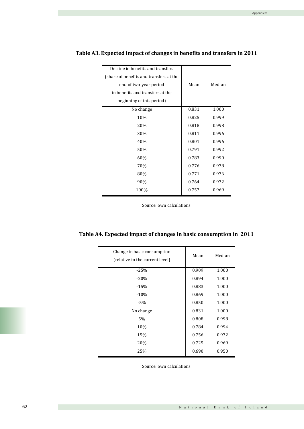| Decline in benefits and transfers       |       |        |
|-----------------------------------------|-------|--------|
| (share of benefits and transfers at the |       |        |
| end of two-year period                  | Mean  | Median |
| in benefits and transfers at the        |       |        |
| beginning of this period)               |       |        |
| No change                               | 0.831 | 1.000  |
| 10%                                     | 0.825 | 0.999  |
| 20%                                     | 0.818 | 0.998  |
| 30%                                     | 0.811 | 0.996  |
| 40%                                     | 0.801 | 0.996  |
| 50%                                     | 0.791 | 0.992  |
| 60%                                     | 0.783 | 0.990  |
| 70%                                     | 0.776 | 0.978  |
| 80%                                     | 0.771 | 0.976  |
| 90%                                     | 0.764 | 0.972  |
| 100%                                    | 0.757 | 0.969  |
|                                         |       |        |

### **Table A3. Expected impact of changes in benefits and transfers in 2011**

Source: own calculations

|  |  | Table A4. Expected impact of changes in basic consumption in 2011 |  |
|--|--|-------------------------------------------------------------------|--|
|  |  |                                                                   |  |

| Change in basic consumption<br>(relative to the current level) | Mean  | Median |
|----------------------------------------------------------------|-------|--------|
| $-25%$                                                         | 0.909 | 1.000  |
| $-20%$                                                         | 0.894 | 1.000  |
| $-15%$                                                         | 0.883 | 1.000  |
| $-10%$                                                         | 0.869 | 1.000  |
| -5%                                                            | 0.850 | 1.000  |
| No change                                                      | 0.831 | 1.000  |
| 5%                                                             | 0.808 | 0.998  |
| 10%                                                            | 0.784 | 0.994  |
| 15%                                                            | 0.756 | 0.972  |
| 20%                                                            | 0.725 | 0.969  |
| 25%                                                            | 0.690 | 0.950  |
|                                                                |       |        |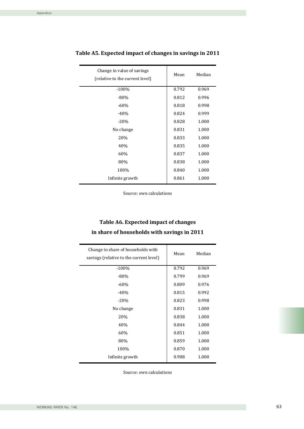| Change in value of savings<br>(relative to the current level) | Mean  | Median |
|---------------------------------------------------------------|-------|--------|
| $-100%$                                                       | 0.792 | 0.969  |
| $-80%$                                                        | 0.812 | 0.996  |
| $-60%$                                                        | 0.818 | 0.998  |
| $-40%$                                                        | 0.824 | 0.999  |
| $-20%$                                                        | 0.828 | 1.000  |
| No change                                                     | 0.831 | 1.000  |
| 20%                                                           | 0.833 | 1.000  |
| 40%                                                           | 0.835 | 1.000  |
| 60%                                                           | 0.837 | 1.000  |
| 80%                                                           | 0.838 | 1.000  |
| 100%                                                          | 0.840 | 1.000  |
| Infinite growth                                               | 0.861 | 1.000  |

**Table A5. Expected impact of changes in savings in 2011**

Source: own calculations

# **Table A6. Expected impact of changes in share of households with savings in 2011**

| Change in share of households with<br>savings (relative to the current level) | Mean  | Median |
|-------------------------------------------------------------------------------|-------|--------|
| $-100%$                                                                       | 0.792 | 0.969  |
| $-80%$                                                                        | 0.799 | 0.969  |
| $-60%$                                                                        | 0.809 | 0.976  |
| $-40%$                                                                        | 0.815 | 0.992  |
| $-20%$                                                                        | 0.823 | 0.998  |
| No change                                                                     | 0.831 | 1.000  |
| 20%                                                                           | 0.838 | 1.000  |
| 40%                                                                           | 0.844 | 1.000  |
| 60%                                                                           | 0.851 | 1.000  |
| 80%                                                                           | 0.859 | 1.000  |
| 100%                                                                          | 0.870 | 1.000  |
| Infinite growth                                                               | 0.908 | 1.000  |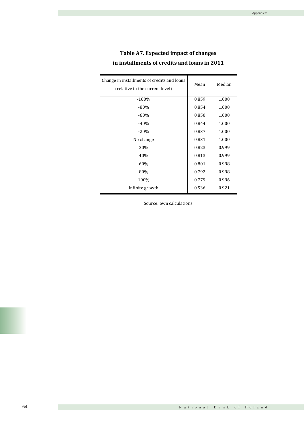| Table A7. Expected impact of changes         |
|----------------------------------------------|
| in installments of credits and loans in 2011 |

| Change in installments of credits and loans<br>(relative to the current level) | Mean  | Median |
|--------------------------------------------------------------------------------|-------|--------|
| $-100%$                                                                        | 0.859 | 1.000  |
| $-80%$                                                                         | 0.854 | 1.000  |
| $-60%$                                                                         | 0.850 | 1.000  |
| $-40%$                                                                         | 0.844 | 1.000  |
| $-20%$                                                                         | 0.837 | 1.000  |
| No change                                                                      | 0.831 | 1.000  |
| 20%                                                                            | 0.823 | 0.999  |
| 40%                                                                            | 0.813 | 0.999  |
| 60%                                                                            | 0.801 | 0.998  |
| 80%                                                                            | 0.792 | 0.998  |
| 100%                                                                           | 0.779 | 0.996  |
| Infinite growth                                                                | 0.536 | 0.921  |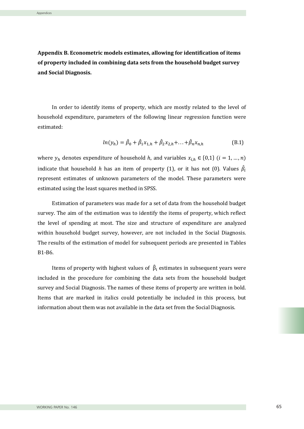**Appendix B. Econometric models estimates, allowing for identification of items of property included in combining data sets from the household budget survey and Social Diagnosis.**

In order to identify items of property, which are mostly related to the level of household expenditure, parameters of the following linear regression function were estimated:

$$
ln(y_h) = \hat{\beta}_0 + \hat{\beta}_1 x_{1,h} + \hat{\beta}_2 x_{2,h} + \dots + \hat{\beta}_n x_{n,h}
$$
 (B.1)

where  $y_h$  denotes expenditure of household h, and variables  $x_{i,h} \in \{0,1\}$   $(i = 1,...,n)$ indicate that household  $h$  has an item of property (1), or it has not (0). Values  $\beta_i$ represent estimates of unknown parameters of the model. These parameters were estimated using the least squares method in SPSS.

Estimation of parameters was made for a set of data from the household budget survey. The aim of the estimation was to identify the items of property, which reflect the level of spending at most. The size and structure of expenditure are analyzed within household budget survey, however, are not included in the Social Diagnosis. The results of the estimation of model for subsequent periods are presented in Tables B1-B6.

Items of property with highest values of  $\hat{\beta}_i$  estimates in subsequent years were included in the procedure for combining the data sets from the household budget survey and Social Diagnosis. The names of these items of property are written in bold. Items that are marked in italics could potentially be included in this process, but information about them was not available in the data set from the Social Diagnosis.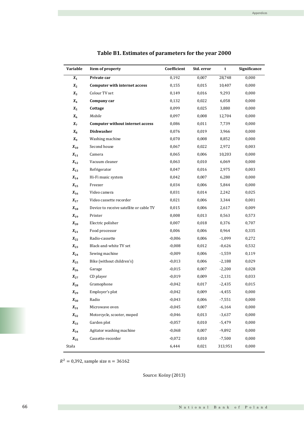| Variable              | Item of property                        | Coefficient | Std. error | t        | Significance |
|-----------------------|-----------------------------------------|-------------|------------|----------|--------------|
| $X_1$                 | Private car                             | 0,192       | 0,007      | 28,748   | 0,000        |
| $X_2$                 | <b>Computer with internet access</b>    | 0,155       | 0,015      | 10,407   | 0,000        |
| $X_3$                 | Colour TV set                           | 0,149       | 0,016      | 9,293    | 0,000        |
| $X_4$                 | Company car                             | 0,132       | 0,022      | 6,058    | 0,000        |
| $X_5$                 | Cottage                                 | 0,099       | 0,025      | 3,880    | 0,000        |
| $X_6$                 | Mobile                                  | 0,097       | 0,008      | 12,704   | 0,000        |
| $X_7$                 | <b>Computer without internet access</b> | 0,086       | 0,011      | 7,739    | 0,000        |
| $X_8$                 | <b>Dishwasher</b>                       | 0,076       | 0,019      | 3,966    | 0,000        |
| $X_9$                 | Washing machine                         | 0,070       | 0,008      | 8,852    | 0,000        |
| $X_{10}$              | Second house                            | 0,067       | 0,022      | 2,972    | 0,003        |
| $X_{11}$              | Camera                                  | 0,065       | 0,006      | 10,203   | 0,000        |
| $X_{12}$              | Vacuum cleaner                          | 0,063       | 0,010      | 6,069    | 0,000        |
| $X_{13}$              | Refrigerator                            | 0,047       | 0,016      | 2,975    | 0,003        |
| $\boldsymbol{X_{14}}$ | Hi-Fi music system                      | 0,042       | 0,007      | 6,280    | 0,000        |
| $\boldsymbol{X_{15}}$ | Freezer                                 | 0,034       | 0,006      | 5,844    | 0,000        |
| $X_{16}$              | Video camera                            | 0,031       | 0,014      | 2,242    | 0,025        |
| $X_{17}$              | Video cassette recorder                 | 0,021       | 0,006      | 3,344    | 0,001        |
| $X_{18}$              | Device to receive satellite or cable TV | 0,015       | 0,006      | 2,617    | 0,009        |
| $X_{19}$              | Printer                                 | 0,008       | 0,013      | 0,563    | 0,573        |
| $X_{20}$              | Electric polisher                       | 0,007       | 0,018      | 0,376    | 0,707        |
| $\boldsymbol{X_{21}}$ | Food processor                          | 0,006       | 0,006      | 0,964    | 0,335        |
| $X_{22}$              | Radio-cassette                          | $-0,006$    | 0,006      | $-1,099$ | 0,272        |
| $X_{23}$              | Black-and-white TV set                  | $-0,008$    | 0,012      | $-0,626$ | 0,532        |
| $X_{24}$              | Sewing machine                          | $-0,009$    | 0,006      | $-1,559$ | 0,119        |
| $X_{25}$              | Bike (without children's)               | $-0,013$    | 0,006      | $-2,188$ | 0,029        |
| $\boldsymbol{X_{26}}$ | Garage                                  | $-0,015$    | 0,007      | $-2,200$ | 0,028        |
| $X_{27}$              | CD player                               | $-0,019$    | 0,009      | $-2,131$ | 0,033        |
| $X_{28}$              | Gramophone                              | $-0,042$    | 0,017      | $-2,435$ | 0,015        |
| $\boldsymbol{X_{29}}$ | Employer's plot                         | $-0,042$    | 0,009      | $-4,455$ | 0,000        |
| $X_{30}$              | Radio                                   | $-0,043$    | 0,006      | $-7,551$ | 0,000        |
| $\boldsymbol{X_{31}}$ | Microwave oven                          | $-0,045$    | 0,007      | $-6,164$ | 0,000        |
| $X_{32}$              | Motorcycle, scooter, moped              | $-0,046$    | 0,013      | $-3,637$ | 0,000        |
| $X_{33}$              | Garden plot                             | $-0,057$    | 0,010      | $-5,479$ | 0,000        |
| $\boldsymbol{X_{34}}$ | Agitator washing machine                | $-0,068$    | 0,007      | $-9,892$ | 0,000        |
| $X_{35}$              | Cassette-recorder                       | $-0,072$    | 0,010      | $-7,500$ | 0,000        |
| Stała                 |                                         | 6,444       | 0,021      | 313,951  | 0,000        |
|                       |                                         |             |            |          |              |

## **Table B1. Estimates of parameters for the year 2000**

 $R^2 = 0,392$ , sample size  $n = 36162$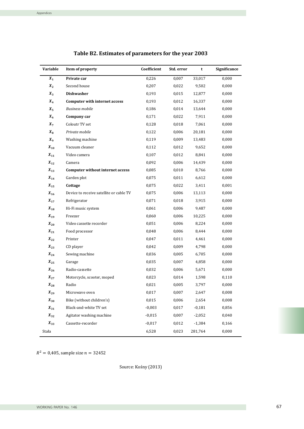| Variable              | Item of property                        | Coefficient | Std. error | t        | Significance |
|-----------------------|-----------------------------------------|-------------|------------|----------|--------------|
| $X_1$                 | Private car                             | 0,226       | 0,007      | 33,017   | 0,000        |
| $X_2$                 | Second house                            | 0,207       | 0,022      | 9,502    | 0,000        |
| $X_3$                 | <b>Dishwasher</b>                       | 0,193       | 0,015      | 12,877   | 0,000        |
| $X_4$                 | Computer with internet access           | 0,193       | 0,012      | 16,337   | 0,000        |
| $X_5$                 | <b>Business mobile</b>                  | 0,186       | 0,014      | 13,644   | 0,000        |
| $X_6$                 | Company car                             | 0,171       | 0,022      | 7,911    | 0,000        |
| $X_7$                 | Coloutr TV set                          | 0,128       | 0,018      | 7,061    | 0,000        |
| $X_{8}$               | Private mobile                          | 0,122       | 0,006      | 20,181   | 0,000        |
| $X_9$                 | Washing machine                         | 0,119       | 0,009      | 13,483   | 0,000        |
| $X_{10}$              | Vacuum cleaner                          | 0,112       | 0,012      | 9,652    | 0,000        |
| $X_{11}$              | Video camera                            | 0,107       | 0,012      | 8,841    | 0,000        |
| $X_{12}$              | Camera                                  | 0,092       | 0,006      | 14,439   | 0,000        |
| $X_{13}$              | Computer without internet access        | 0,085       | 0,010      | 8,766    | 0,000        |
| $X_{14}$              | Garden plot                             | 0,075       | 0,011      | 6,612    | 0,000        |
| $X_{15}$              | Cottage                                 | 0,075       | 0,022      | 3,411    | 0,001        |
| $X_{16}$              | Device to receive satellite or cable TV | 0,075       | 0,006      | 13,113   | 0,000        |
| $X_{17}$              | Refrigerator                            | 0,071       | 0,018      | 3,915    | 0,000        |
| $X_{18}$              | Hi-Fi music system                      | 0,061       | 0,006      | 9,487    | 0,000        |
| $X_{19}$              | Freezer                                 | 0,060       | 0,006      | 10,225   | 0,000        |
| $X_{20}$              | Video cassette recorder                 | 0,051       | 0,006      | 8,224    | 0,000        |
| $X_{21}$              | Food processor                          | 0,048       | 0,006      | 8,444    | 0,000        |
| $X_{22}$              | Printer                                 | 0,047       | 0,011      | 4,461    | 0,000        |
| $X_{23}$              | CD player                               | 0,042       | 0,009      | 4,798    | 0,000        |
| $X_{24}$              | Sewing machine                          | 0,036       | 0,005      | 6,705    | 0,000        |
| $X_{25}$              | Garage                                  | 0,035       | 0,007      | 4,858    | 0,000        |
| $X_{26}$              | Radio-cassette                          | 0,032       | 0,006      | 5,671    | 0,000        |
| $X_{27}$              | Motorcycle, scooter, moped              | 0,023       | 0,014      | 1,598    | 0,110        |
| $X_{28}$              | Radio                                   | 0,021       | 0,005      | 3,797    | 0,000        |
| $X_{29}$              | Microwave oven                          | 0,017       | 0,007      | 2,647    | 0,008        |
| $X_{30}$              | Bike (without children's)               | 0,015       | 0,006      | 2,654    | 0,008        |
| $\boldsymbol{X_{31}}$ | Black-and-white TV set                  | $-0,003$    | 0,017      | $-0,181$ | 0,856        |
| $X_{32}$              | Agitator washing machine                | $-0,015$    | 0,007      | $-2,052$ | 0,040        |
| $X_{33}$              | Cassette-recorder                       | $-0,017$    | 0,012      | $-1,384$ | 0,166        |
| Stała                 |                                         | 6,528       | 0,023      | 281,764  | 0,000        |

### **Table B2. Estimates of parameters for the year 2003**

 $R^2 = 0,405$ , sample size  $n = 32452$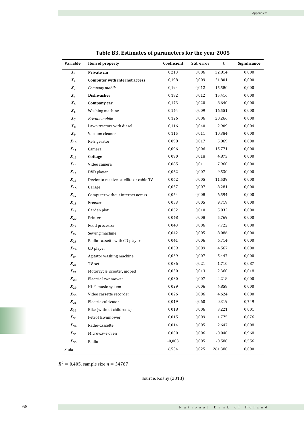| Variable              | Item of property                        | Coefficient | Std. error | t        | Significance |
|-----------------------|-----------------------------------------|-------------|------------|----------|--------------|
| $\pmb{X_1}$           | Private car                             | 0,213       | 0,006      | 32,814   | 0,000        |
| $X_2$                 | <b>Computer with internet access</b>    | 0,198       | 0,009      | 21,801   | 0,000        |
| $X_3$                 | Company mobile                          | 0,194       | 0,012      | 15,580   | 0,000        |
| $X_4$                 | <b>Dishwasher</b>                       | 0,182       | 0,012      | 15,416   | 0,000        |
| $X_5$                 | Company car                             | 0,173       | 0,020      | 8,640    | 0,000        |
| $X_6$                 | Washing machine                         | 0,144       | 0,009      | 16,551   | 0,000        |
| $X_7$                 | Private mobile                          | 0,126       | 0,006      | 20,266   | 0,000        |
| $X_8$                 | Lawn tractors with diesel               | 0,116       | 0,040      | 2,909    | 0,004        |
| $X_9$                 | Vacuum cleaner                          | 0,115       | 0,011      | 10,384   | 0,000        |
| $X_{10}$              | Refrigerator                            | 0,098       | 0,017      | 5,869    | 0,000        |
| $X_{11}$              | Camera                                  | 0,096       | 0,006      | 15,771   | 0,000        |
| $X_{12}$              | Cottage                                 | 0,090       | 0,018      | 4,873    | 0,000        |
| $\boldsymbol{X_{13}}$ | Video camera                            | 0,085       | 0,011      | 7,960    | 0,000        |
| $\boldsymbol{X_{14}}$ | DVD player                              | 0,062       | 0,007      | 9,530    | 0,000        |
| $X_{15}$              | Device to receive satellite or cable TV | 0,062       | 0,005      | 11,539   | 0,000        |
| $\boldsymbol{X_{16}}$ | Garage                                  | 0,057       | 0,007      | 8,281    | 0,000        |
| $\boldsymbol{X}_{17}$ | Computer without internet access        | 0,054       | 0,008      | 6,594    | 0,000        |
| $\boldsymbol{X_{18}}$ | Freezer                                 | 0,053       | 0,005      | 9,719    | 0,000        |
| $X_{19}$              | Garden plot                             | 0,052       | 0,010      | 5,032    | 0,000        |
| $X_{20}$              | Printer                                 | 0,048       | 0,008      | 5,769    | 0,000        |
| $X_{21}$              | Food processor                          | 0,043       | 0,006      | 7,722    | 0,000        |
| $\boldsymbol{X_{22}}$ | Sewing machine                          | 0,042       | 0,005      | 8,086    | 0,000        |
| $X_{23}$              | Radio-cassette with CD player           | 0,041       | 0,006      | 6,714    | 0,000        |
| $X_{24}$              | CD player                               | 0,039       | 0,009      | 4,567    | 0,000        |
| $X_{25}$              | Agitator washing machine                | 0,039       | 0,007      | 5,447    | 0,000        |
| $X_{26}$              | TV-set                                  | 0,036       | 0,021      | 1,710    | 0,087        |
| $X_{27}$              | Motorcycle, scooter, moped              | 0,030       | 0,013      | 2,360    | 0,018        |
| $X_{28}$              | Electric lawnmower                      | 0,030       | 0,007      | 4,218    | 0,000        |
| $X_{29}$              | Hi-Fi music system                      | 0,029       | 0,006      | 4,858    | 0,000        |
| $X_{30}$              | Video cassette recorder                 | 0,026       | 0,006      | 4,624    | 0,000        |
| $X_{31}$              | Electric cultivator                     | 0,019       | 0,060      | 0,319    | 0,749        |
| $X_{32}$              | Bike (without children's)               | 0,018       | 0,006      | 3,221    | 0,001        |
| $X_{33}$              | Petrol lawnmower                        | 0,015       | 0,009      | 1,775    | 0,076        |
| $X_{34}$              | Radio-cassette                          | 0,014       | 0,005      | 2,647    | 0,008        |
| $\boldsymbol{X_{35}}$ | Microwave oven                          | 0,000       | 0,006      | $-0,040$ | 0,968        |
| $X_{36}$              | Radio                                   | $-0,003$    | 0,005      | $-0,588$ | 0,556        |
| Stała                 |                                         | 6,534       | 0,025      | 261,380  | 0,000        |

|  |  |  | Table B3. Estimates of parameters for the year 2005 |  |  |
|--|--|--|-----------------------------------------------------|--|--|
|--|--|--|-----------------------------------------------------|--|--|

 $R^2 = 0,405$ , sample size  $n = 34767$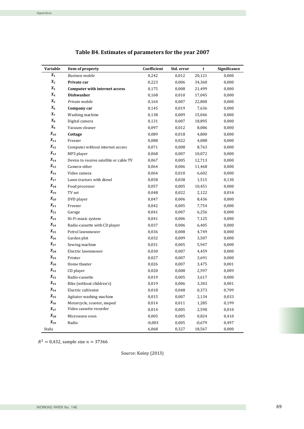| Variable              | Item of property                        | Coefficient | Std. error | t        | Significance |
|-----------------------|-----------------------------------------|-------------|------------|----------|--------------|
| $\boldsymbol{X}_1$    | <b>Business mobile</b>                  | 0,242       | 0,012      | 20,121   | 0,000        |
| $X_2$                 | Private car                             | 0,223       | 0,006      | 34,360   | 0,000        |
| $X_3$                 | Computer with internet access           | 0,175       | 0,008      | 21,499   | 0,000        |
| $X_4$                 | <b>Dishwasher</b>                       | 0,168       | 0,010      | 17,045   | 0,000        |
| $X_5$                 | Private mobile                          | 0,164       | 0,007      | 22,800   | 0,000        |
| $X_6$                 | Company car                             | 0,145       | 0,019      | 7,636    | 0,000        |
| $X_7$                 | Washing machine                         | 0,138       | 0,009      | 15,046   | 0,000        |
| $X_8$                 | Digital camera                          | 0,131       | 0,007      | 18,895   | 0,000        |
| $X_9$                 | Vacuum cleaner                          | 0,097       | 0,012      | 8,086    | 0,000        |
| $X_{10}$              | Cottage                                 | 0,089       | 0,018      | 4,800    | 0,000        |
| $X_{11}$              | Freezer                                 | 0,088       | 0,022      | 4,088    | 0,000        |
| $X_{12}$              | Computer without internet access        | 0,071       | 0,008      | 8,763    | 0,000        |
| $\boldsymbol{X_{13}}$ | MP3 player                              | 0,068       | 0,007      | 10,072   | 0,000        |
| $X_{14}$              | Device to receive satellite or cable TV | 0,067       | 0,005      | 12,713   | 0,000        |
| $X_{15}$              | Camera-other                            | 0,064       | 0,006      | 11,468   | 0,000        |
| $\boldsymbol{X_{16}}$ | Video camera                            | 0,064       | 0,010      | 6,602    | 0,000        |
| $X_{17}$              | Lawn tractors with diesel               | 0,058       | 0,038      | 1,515    | 0,130        |
| $\boldsymbol{X_{18}}$ | Food processor                          | 0,057       | 0,005      | 10,451   | 0,000        |
| $X_{19}$              | TV set                                  | 0,048       | 0,022      | 2,122    | 0,034        |
| $X_{20}$              | DVD player                              | 0,047       | 0,006      | 8,436    | 0,000        |
| $X_{21}$              | Freezer                                 | 0,042       | 0,005      | 7,754    | 0,000        |
| $X_{22}$              | Garage                                  | 0,041       | 0,007      | 6,256    | 0,000        |
| $X_{23}$              | Hi-Fi music system                      | 0,041       | 0,006      | 7,125    | 0,000        |
| $X_{24}$              | Radio-cassette with CD player           | 0,037       | 0,006      | 6,405    | 0,000        |
| $X_{25}$              | Petrol lawnmower                        | 0,036       | 0,008      | 4,749    | 0,000        |
| $X_{26}$              | Garden plot                             | 0,032       | 0,009      | 3,507    | 0,000        |
| $X_{27}$              | Sewing machine                          | 0,031       | 0,005      | 5,947    | 0,000        |
| $X_{28}$              | Electric lawnmower                      | 0,030       | 0,007      | 4,459    | 0,000        |
| $X_{29}$              | Printer                                 | 0,027       | 0,007      | 3,691    | 0,000        |
| $X_{30}$              | Home theater                            | 0,026       | 0,007      | 3,475    | 0,001        |
| $X_{31}$              | CD player                               | 0,020       | 0,008      | 2,597    | 0,009        |
| $X_{32}$              | Radio-cassette                          | 0,019       | 0,005      | 3,617    | 0,000        |
| $X_{33}$              | Bike (without children's)               | 0,019       | 0,006      | 3,303    | 0,001        |
| $\boldsymbol{X_{34}}$ | Electric cultivator                     | 0,018       | 0,048      | 0,373    | 0,709        |
| $X_{35}$              | Agitator washing machine                | 0,015       | 0,007      | 2,134    | 0,033        |
| $X_{36}$              | Motorcycle, scooter, moped              | 0,014       | 0,011      | 1,285    | 0,199        |
| $X_{37}$              | Video cassette recorder                 | 0,014       | 0,005      | 2,590    | 0,010        |
| $X_{38}$              | Microwave oven                          | 0,005       | 0,005      | 0,824    | 0,410        |
| $X_{39}$              | Radio                                   | $-0,003$    | 0,005      | $-0,679$ | 0,497        |
| Stała                 |                                         | 6,068       | 0,327      | 18,567   | 0,000        |

## **Table B4. Estimates of parameters for the year 2007**

 $R^2 = 0.432$ , sample size  $n = 37366$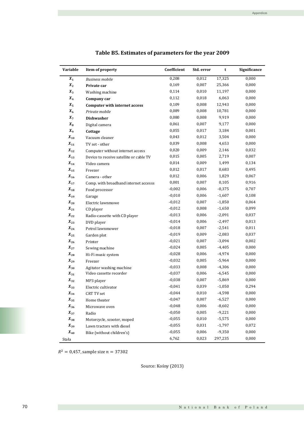| Variable              | Item of property                        | Coefficient | Std. error | t        | Significance |
|-----------------------|-----------------------------------------|-------------|------------|----------|--------------|
| $\boldsymbol{X}_1$    | <b>Business mobile</b>                  | 0,208       | 0,012      | 17,325   | 0,000        |
| $\boldsymbol{X_2}$    | Private car                             | 0,169       | 0,007      | 25,366   | 0,000        |
| $X_3$                 | Washing machine                         | 0,114       | 0,010      | 11,197   | 0,000        |
| $\boldsymbol{X_4}$    | Company car                             | 0,112       | 0,018      | 6,063    | 0,000        |
| $X_5$                 | <b>Computer with internet access</b>    | 0,109       | 0,008      | 12,943   | 0,000        |
| $X_6$                 | Private mobile                          | 0,089       | 0,008      | 10,781   | 0,000        |
| $X_7$                 | <b>Dishwasher</b>                       | 0,080       | 0,008      | 9,919    | 0,000        |
| $X_8$                 | Digital camera                          | 0,061       | 0,007      | 9,177    | 0,000        |
| $X_9$                 | Cottage                                 | 0,055       | 0,017      | 3,184    | 0,001        |
| $X_{10}$              | Vacuum cleaner                          | 0,043       | 0,012      | 3,504    | 0,000        |
| $\boldsymbol{X_{11}}$ | TV set - other                          | 0,039       | 0,008      | 4,653    | 0,000        |
| $\boldsymbol{X_{12}}$ | Computer without internet access        | 0,020       | 0,009      | 2,146    | 0,032        |
| $\boldsymbol{X}_{13}$ | Device to receive satellite or cable TV | 0,015       | 0,005      | 2,719    | 0,007        |
| $X_{14}$              | Video camera                            | 0,014       | 0,009      | 1,499    | 0,134        |
| $\boldsymbol{X}_{15}$ | Freezer                                 | 0,012       | 0,017      | 0,683    | 0,495        |
| $X_{16}$              | Camera - other                          | 0,012       | 0,006      | 1,829    | 0,067        |
| $\boldsymbol{X_{17}}$ | Comp. with broadband internet accesss   | 0,001       | 0,007      | 0,105    | 0,916        |
| $X_{18}$              | Food processor                          | $-0,002$    | 0,006      | $-0,375$ | 0,707        |
| $X_{19}$              | Garage                                  | $-0,010$    | 0,006      | $-1,607$ | 0,108        |
| $X_{20}$              | Electric lawnmowe                       | $-0,012$    | 0,007      | $-1,850$ | 0,064        |
| $\boldsymbol{X_{21}}$ | CD player                               | $-0,012$    | 0,008      | $-1,650$ | 0,099        |
| $\boldsymbol{X_{22}}$ | Radio-cassette with CD player           | $-0,013$    | 0,006      | $-2,091$ | 0,037        |
| $X_{23}$              | DVD player                              | $-0,014$    | 0,006      | $-2,497$ | 0,013        |
| $\boldsymbol{X_{24}}$ | Petrol lawnmower                        | $-0,018$    | 0,007      | $-2,541$ | 0,011        |
| $X_{25}$              | Garden plot                             | $-0,019$    | 0,009      | $-2,083$ | 0,037        |
| $X_{26}$              | Printer                                 | $-0,021$    | 0,007      | $-3,094$ | 0,002        |
| $\boldsymbol{X_{27}}$ | Sewing machine                          | $-0,024$    | 0,005      | $-4,405$ | 0,000        |
| $\boldsymbol{X_{28}}$ | Hi-Fi music system                      | $-0,028$    | 0,006      | $-4,974$ | 0,000        |
| $X_{29}$              | Freezer                                 | $-0,032$    | 0,005      | $-5,964$ | 0,000        |
| $X_{30}$              | Agitator washing machine                | $-0,033$    | 0,008      | $-4,306$ | 0,000        |
| $X_{31}$              | Video cassette recorder                 | $-0,037$    | 0,006      | $-6,545$ | 0,000        |
| $X_{32}$              | MP3 player                              | $-0,038$    | 0,007      | $-5,869$ | 0,000        |
| $\boldsymbol{X_{33}}$ | Electric cultivator                     | $-0,041$    | 0,039      | $-1,050$ | 0,294        |
| $X_{34}$              | CRT TV set                              | $-0,044$    | 0,010      | $-4,598$ | 0,000        |
| $X_{35}$              | Home theater                            | $-0,047$    | 0,007      | $-6,527$ | 0,000        |
| $X_{36}$              | Microwave oven                          | $-0,048$    | 0,006      | $-8,602$ | 0,000        |
| $X_{37}$              | Radio                                   | $-0,050$    | 0,005      | $-9,221$ | 0,000        |
| $X_{38}$              | Motorcycle, scooter, moped              | $-0,055$    | 0,010      | $-5,575$ | 0,000        |
| $X_{39}$              | Lawn tractors with diesel               | $-0,055$    | 0,031      | $-1,797$ | 0,072        |
| $X_{40}$              | Bike (without children's)               | $-0,055$    | 0,006      | $-9,350$ | 0,000        |
| Stała                 |                                         | 6,762       | 0,023      | 297,235  | 0,000        |

## **Table B5. Estimates of parameters for the year 2009**

 $R^2 = 0,457$ , sample size  $n = 37302$